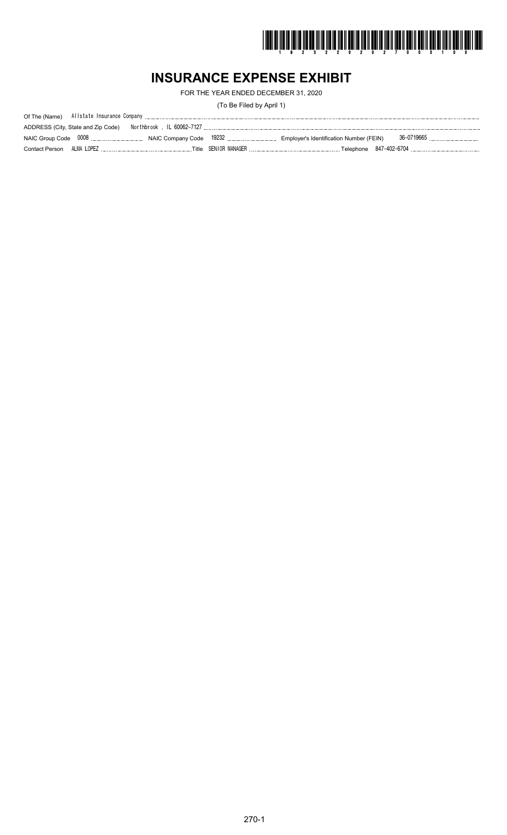

## **INSURANCE EXPENSE EXHIBIT**

FOR THE YEAR ENDED DECEMBER 31, 2020

(To Be Filed by April 1)

| ADDRESS (City, State and Zip Code) |  |  |
|------------------------------------|--|--|
|                                    |  |  |
|                                    |  |  |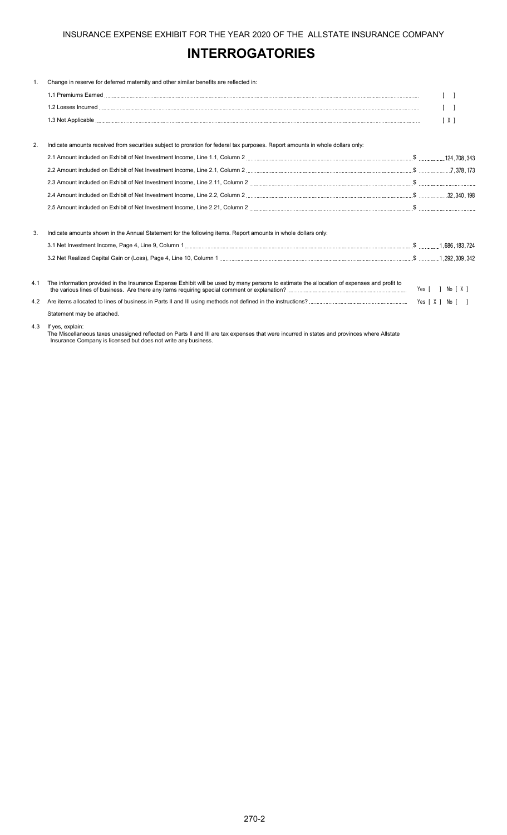## **INTERROGATORIES**

| $\mathbf{1}$ . | Change in reserve for deferred maternity and other similar benefits are reflected in:                                                       |     |
|----------------|---------------------------------------------------------------------------------------------------------------------------------------------|-----|
|                |                                                                                                                                             |     |
|                |                                                                                                                                             |     |
|                |                                                                                                                                             | [X] |
|                |                                                                                                                                             |     |
| 2.             | Indicate amounts received from securities subject to proration for federal tax purposes. Report amounts in whole dollars only:              |     |
|                |                                                                                                                                             |     |
|                |                                                                                                                                             |     |
|                |                                                                                                                                             |     |
|                |                                                                                                                                             |     |
|                |                                                                                                                                             |     |
| 3.             | Indicate amounts shown in the Annual Statement for the following items. Report amounts in whole dollars only:                               |     |
|                |                                                                                                                                             |     |
|                |                                                                                                                                             |     |
| 4.1            | The information provided in the Insurance Expense Exhibit will be used by many persons to estimate the allocation of expenses and profit to |     |
| 4.2            |                                                                                                                                             |     |
|                | Statement may be attached.                                                                                                                  |     |

### 4.3 If yes, explain:

The Miscellaneous taxes unassigned reflected on Parts II and III are tax expenses that were incurred in states and provinces where Allstate Insurance Company is licensed but does not write any business.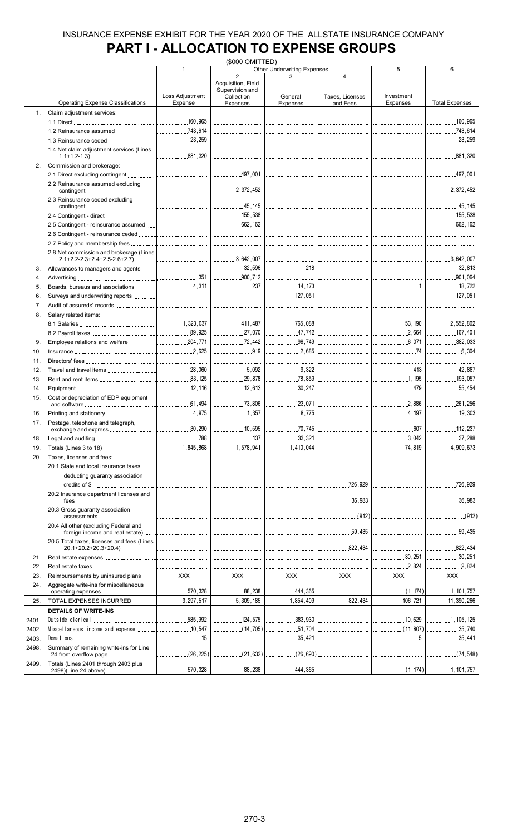## **PART I - ALLOCATION TO EXPENSE GROUPS**

|       |                                            |                 | (\$000 OMITTED)               |                                                                                                                                                                                                                                                                                                                                                                                  |                  |                                       |                                         |
|-------|--------------------------------------------|-----------------|-------------------------------|----------------------------------------------------------------------------------------------------------------------------------------------------------------------------------------------------------------------------------------------------------------------------------------------------------------------------------------------------------------------------------|------------------|---------------------------------------|-----------------------------------------|
|       |                                            | $\mathbf{1}$    |                               | <b>Other Underwriting Expenses</b>                                                                                                                                                                                                                                                                                                                                               |                  | 5                                     | 6                                       |
|       |                                            |                 | $\overline{2}$                |                                                                                                                                                                                                                                                                                                                                                                                  | 4                |                                       |                                         |
|       |                                            |                 | Acquisition, Field            |                                                                                                                                                                                                                                                                                                                                                                                  |                  |                                       |                                         |
|       |                                            | Loss Adjustment | Supervision and<br>Collection | General                                                                                                                                                                                                                                                                                                                                                                          | Taxes, Licenses  | Investment                            |                                         |
|       | <b>Operating Expense Classifications</b>   | Expense         | Expenses                      | Expenses                                                                                                                                                                                                                                                                                                                                                                         | and Fees         | Expenses                              | <b>Total Expenses</b>                   |
|       |                                            |                 |                               |                                                                                                                                                                                                                                                                                                                                                                                  |                  |                                       |                                         |
| 1.    | Claim adjustment services:                 |                 |                               |                                                                                                                                                                                                                                                                                                                                                                                  |                  |                                       |                                         |
|       |                                            |                 |                               |                                                                                                                                                                                                                                                                                                                                                                                  |                  |                                       |                                         |
|       |                                            |                 |                               |                                                                                                                                                                                                                                                                                                                                                                                  |                  |                                       |                                         |
|       |                                            |                 |                               |                                                                                                                                                                                                                                                                                                                                                                                  |                  |                                       |                                         |
|       |                                            |                 |                               |                                                                                                                                                                                                                                                                                                                                                                                  |                  |                                       |                                         |
|       | 1.4 Net claim adjustment services (Lines   |                 |                               |                                                                                                                                                                                                                                                                                                                                                                                  |                  |                                       |                                         |
|       |                                            |                 |                               |                                                                                                                                                                                                                                                                                                                                                                                  |                  |                                       |                                         |
| 2.    | Commission and brokerage:                  |                 |                               |                                                                                                                                                                                                                                                                                                                                                                                  |                  |                                       |                                         |
|       |                                            |                 |                               |                                                                                                                                                                                                                                                                                                                                                                                  |                  |                                       |                                         |
|       | 2.2 Reinsurance assumed excluding          |                 |                               |                                                                                                                                                                                                                                                                                                                                                                                  |                  |                                       |                                         |
|       | contingent 2,372,452                       |                 |                               | $\mathcal{L} = \{1, 2, \ldots, 2, \ldots, 2, \ldots, 2, \ldots, 2, \ldots, 2, \ldots, 2, \ldots, 2, \ldots, 2, \ldots, 2, \ldots, 2, \ldots, 2, \ldots, 2, \ldots, 2, \ldots, 2, \ldots, 2, \ldots, 2, \ldots, 2, \ldots, 2, \ldots, 2, \ldots, 2, \ldots, 2, \ldots, 2, \ldots, 2, \ldots, 2, \ldots, 2, \ldots, 2, \ldots, 2, \ldots, 2, \ldots, 2, \ldots$                    |                  |                                       | .2,372,452                              |
|       | 2.3 Reinsurance ceded excluding            |                 |                               |                                                                                                                                                                                                                                                                                                                                                                                  |                  |                                       |                                         |
|       |                                            |                 |                               |                                                                                                                                                                                                                                                                                                                                                                                  |                  |                                       |                                         |
|       |                                            |                 |                               |                                                                                                                                                                                                                                                                                                                                                                                  |                  |                                       |                                         |
|       |                                            |                 |                               |                                                                                                                                                                                                                                                                                                                                                                                  |                  |                                       |                                         |
|       |                                            |                 |                               |                                                                                                                                                                                                                                                                                                                                                                                  |                  |                                       |                                         |
|       |                                            |                 |                               |                                                                                                                                                                                                                                                                                                                                                                                  |                  |                                       |                                         |
|       |                                            |                 |                               |                                                                                                                                                                                                                                                                                                                                                                                  |                  |                                       |                                         |
|       | 2.8 Net commission and brokerage (Lines    |                 |                               |                                                                                                                                                                                                                                                                                                                                                                                  |                  |                                       |                                         |
|       |                                            |                 |                               |                                                                                                                                                                                                                                                                                                                                                                                  |                  |                                       |                                         |
| 3.    |                                            |                 |                               | 218                                                                                                                                                                                                                                                                                                                                                                              |                  |                                       |                                         |
|       |                                            |                 |                               |                                                                                                                                                                                                                                                                                                                                                                                  |                  |                                       |                                         |
| 4.    |                                            |                 |                               |                                                                                                                                                                                                                                                                                                                                                                                  |                  |                                       | $\begin{bmatrix} 901,064 \end{bmatrix}$ |
| 5.    |                                            |                 |                               | 14, 173                                                                                                                                                                                                                                                                                                                                                                          |                  |                                       | <u> </u> 18 ,722                        |
| 6.    |                                            |                 |                               |                                                                                                                                                                                                                                                                                                                                                                                  |                  |                                       |                                         |
| 7.    |                                            |                 |                               |                                                                                                                                                                                                                                                                                                                                                                                  |                  |                                       |                                         |
|       |                                            |                 |                               |                                                                                                                                                                                                                                                                                                                                                                                  |                  |                                       |                                         |
| 8.    | Salary related items:                      |                 |                               |                                                                                                                                                                                                                                                                                                                                                                                  |                  |                                       |                                         |
|       |                                            |                 |                               |                                                                                                                                                                                                                                                                                                                                                                                  |                  |                                       |                                         |
|       |                                            |                 |                               | 47,742                                                                                                                                                                                                                                                                                                                                                                           |                  |                                       |                                         |
| 9.    |                                            |                 | $\frac{1}{2}$ 72,442          | 98,749                                                                                                                                                                                                                                                                                                                                                                           |                  | $\begin{bmatrix} 6,071 \end{bmatrix}$ | 382,033                                 |
|       |                                            |                 | 919                           | 2,685                                                                                                                                                                                                                                                                                                                                                                            |                  |                                       | 6,304                                   |
| 10.   |                                            |                 |                               |                                                                                                                                                                                                                                                                                                                                                                                  |                  | 74                                    |                                         |
| 11.   |                                            |                 |                               |                                                                                                                                                                                                                                                                                                                                                                                  |                  |                                       |                                         |
| 12.   |                                            |                 |                               | $\begin{array}{c} \rule{0pt}{2.5mm} \rule{0pt}{2.5mm} \rule{0pt}{2.5mm} \rule{0pt}{2.5mm} \rule{0pt}{2.5mm} \rule{0pt}{2.5mm} \rule{0pt}{2.5mm} \rule{0pt}{2.5mm} \rule{0pt}{2.5mm} \rule{0pt}{2.5mm} \rule{0pt}{2.5mm} \rule{0pt}{2.5mm} \rule{0pt}{2.5mm} \rule{0pt}{2.5mm} \rule{0pt}{2.5mm} \rule{0pt}{2.5mm} \rule{0pt}{2.5mm} \rule{0pt}{2.5mm} \rule{0pt}{2.5mm} \rule{0$ |                  |                                       | 42.887                                  |
| 13.   |                                            |                 |                               | 78,859                                                                                                                                                                                                                                                                                                                                                                           |                  |                                       | 193.057                                 |
| 14.   |                                            |                 | 12,613                        | 30,247                                                                                                                                                                                                                                                                                                                                                                           |                  |                                       | 55.454<br>.                             |
|       |                                            |                 |                               |                                                                                                                                                                                                                                                                                                                                                                                  |                  |                                       |                                         |
| 15.   | Cost or depreciation of EDP equipment      |                 |                               |                                                                                                                                                                                                                                                                                                                                                                                  |                  |                                       |                                         |
|       |                                            |                 | 73,806                        | 123.071                                                                                                                                                                                                                                                                                                                                                                          |                  |                                       | 261.256                                 |
| 16.   |                                            |                 |                               |                                                                                                                                                                                                                                                                                                                                                                                  |                  |                                       | 19,303<br>.                             |
| 17.   | Postage, telephone and telegraph,          |                 |                               |                                                                                                                                                                                                                                                                                                                                                                                  |                  |                                       |                                         |
|       |                                            |                 | 10,595                        |                                                                                                                                                                                                                                                                                                                                                                                  |                  | .607                                  | 112,237                                 |
| 18.   |                                            | .788            | 137                           | .33,321<br>.                                                                                                                                                                                                                                                                                                                                                                     |                  |                                       | 37,288                                  |
| 19.   |                                            |                 | 1,578,941                     | 1,410,044                                                                                                                                                                                                                                                                                                                                                                        |                  |                                       | 4,909,673                               |
|       |                                            |                 |                               |                                                                                                                                                                                                                                                                                                                                                                                  |                  |                                       |                                         |
| 20.   | Taxes, licenses and fees:                  |                 |                               |                                                                                                                                                                                                                                                                                                                                                                                  |                  |                                       |                                         |
|       | 20.1 State and local insurance taxes       |                 |                               |                                                                                                                                                                                                                                                                                                                                                                                  |                  |                                       |                                         |
|       | deducting guaranty association             |                 |                               |                                                                                                                                                                                                                                                                                                                                                                                  |                  |                                       |                                         |
|       |                                            |                 |                               |                                                                                                                                                                                                                                                                                                                                                                                  |                  |                                       | 726,929                                 |
|       |                                            |                 |                               |                                                                                                                                                                                                                                                                                                                                                                                  |                  |                                       |                                         |
|       | 20.2 Insurance department licenses and     |                 |                               |                                                                                                                                                                                                                                                                                                                                                                                  | $\frac{36}{983}$ |                                       |                                         |
|       |                                            |                 |                               |                                                                                                                                                                                                                                                                                                                                                                                  |                  |                                       |                                         |
|       | 20.3 Gross guaranty association            |                 |                               |                                                                                                                                                                                                                                                                                                                                                                                  |                  |                                       |                                         |
|       |                                            |                 |                               |                                                                                                                                                                                                                                                                                                                                                                                  |                  |                                       |                                         |
|       | 20.4 All other (excluding Federal and      |                 |                               |                                                                                                                                                                                                                                                                                                                                                                                  |                  |                                       |                                         |
|       |                                            |                 |                               |                                                                                                                                                                                                                                                                                                                                                                                  |                  |                                       |                                         |
|       | 20.5 Total taxes, licenses and fees (Lines |                 |                               |                                                                                                                                                                                                                                                                                                                                                                                  |                  |                                       |                                         |
|       |                                            |                 |                               |                                                                                                                                                                                                                                                                                                                                                                                  |                  |                                       |                                         |
| 21.   |                                            |                 |                               |                                                                                                                                                                                                                                                                                                                                                                                  |                  |                                       | 30,251                                  |
| 22.   |                                            |                 |                               |                                                                                                                                                                                                                                                                                                                                                                                  |                  |                                       |                                         |
| 23.   |                                            |                 |                               |                                                                                                                                                                                                                                                                                                                                                                                  |                  |                                       |                                         |
|       |                                            |                 |                               |                                                                                                                                                                                                                                                                                                                                                                                  |                  |                                       |                                         |
| 24.   | Aggregate write-ins for miscellaneous      | 570,328         | 88,238                        | 444,365                                                                                                                                                                                                                                                                                                                                                                          |                  |                                       |                                         |
|       | operating expenses                         |                 |                               |                                                                                                                                                                                                                                                                                                                                                                                  |                  | (1, 174)                              | 1, 101, 757                             |
| 25.   | TOTAL EXPENSES INCURRED                    | 3,297,517       | 5,309,185                     | 1,854,409                                                                                                                                                                                                                                                                                                                                                                        | 822,434          | 106,721                               | 11,390,266                              |
|       | <b>DETAILS OF WRITE-INS</b>                |                 |                               |                                                                                                                                                                                                                                                                                                                                                                                  |                  |                                       |                                         |
| 2401. |                                            |                 |                               | .383,930<br>.                                                                                                                                                                                                                                                                                                                                                                    |                  |                                       | 1, 105, 125                             |
|       |                                            |                 | $\ldots$ (14,705)             |                                                                                                                                                                                                                                                                                                                                                                                  |                  |                                       |                                         |
| 2402. |                                            |                 |                               | 51,704                                                                                                                                                                                                                                                                                                                                                                           |                  |                                       | 35,740                                  |
| 2403. |                                            |                 |                               | 35,421                                                                                                                                                                                                                                                                                                                                                                           |                  |                                       |                                         |
| 2498. | Summary of remaining write-ins for Line    |                 |                               |                                                                                                                                                                                                                                                                                                                                                                                  |                  |                                       |                                         |
|       |                                            |                 | (21,632)<br>.                 | $\ldots$ (26,690)                                                                                                                                                                                                                                                                                                                                                                |                  |                                       | (74, 548)<br>.                          |
| 2499. | Totals (Lines 2401 through 2403 plus       |                 |                               |                                                                                                                                                                                                                                                                                                                                                                                  |                  |                                       |                                         |
|       | 2498)(Line 24 above)                       | 570,328         | 88,238                        | 444,365                                                                                                                                                                                                                                                                                                                                                                          |                  | (1, 174)                              | 1, 101, 757                             |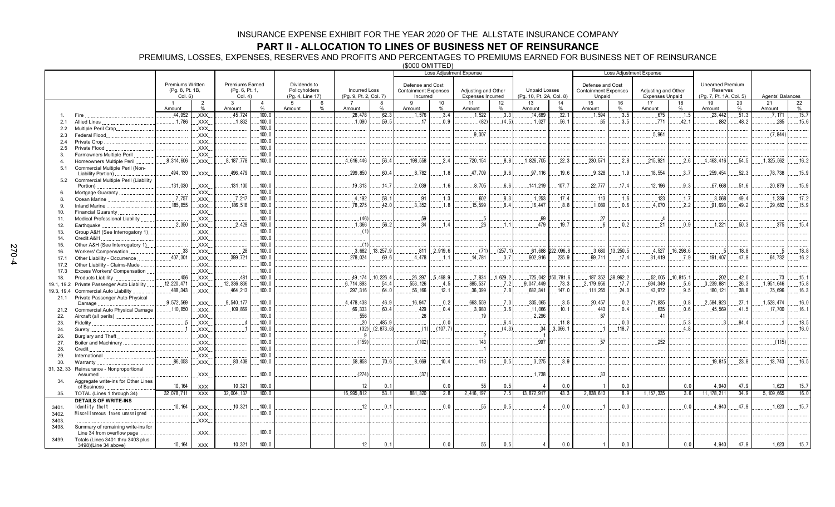### **PART II - ALLOCATION TO LINES OF BUSINESS NET OF REINSURANCE**

PREMIUMS, LOSSES, EXPENSES, RESERVES AND PROFITS AND PERCENTAGES TO PREMIUMS EARNED FOR BUSINESS NET OF REINSURANCE

(\$000 OMITTED)

|            |                                                                  |                                            |                          |                                          |                |                               |      |                        |               |                                                 | Loss Adjustment Expense |                          |          |                          |                     |                                                 |            | <b>Loss Adjustment Expense</b> |            |                              |       |                  |       |
|------------|------------------------------------------------------------------|--------------------------------------------|--------------------------|------------------------------------------|----------------|-------------------------------|------|------------------------|---------------|-------------------------------------------------|-------------------------|--------------------------|----------|--------------------------|---------------------|-------------------------------------------------|------------|--------------------------------|------------|------------------------------|-------|------------------|-------|
|            |                                                                  |                                            |                          |                                          |                |                               |      |                        |               |                                                 |                         |                          |          |                          |                     |                                                 |            |                                |            |                              |       |                  |       |
|            |                                                                  | <b>Premiums Written</b><br>(Pg. 8, Pt. 1B, |                          | <b>Premiums Earned</b><br>(Pg. 6, Pt. 1, |                | Dividends to<br>Policyholders |      | <b>Incurred Loss</b>   |               | Defense and Cost<br><b>Containment Expenses</b> |                         | Adjusting and Other      |          | <b>Unpaid Losses</b>     |                     | Defense and Cost<br><b>Containment Expenses</b> |            | Adjusting and Other            |            | Unearned Premium<br>Reserves |       |                  |       |
|            |                                                                  | Col. 6)                                    |                          | Col. 4)                                  |                | (Pg. 4, Line 17)              |      | (Pg. 9, Pt. 2, Col. 7) |               | Incurred                                        |                         | <b>Expenses Incurred</b> |          | (Pg. 10, Pt. 2A, Col. 8) |                     | Unpaid                                          |            | <b>Expenses Unpaid</b>         |            | (Pg. 7, Pt. 1A, Col. 5)      |       | Agents' Balances |       |
|            |                                                                  |                                            | $\overline{2}$           | $\mathbf{3}$                             | $\overline{4}$ | -5                            | 6    |                        | 8             | -9                                              | 10                      | 11                       | 12       | 13                       | 14                  | 15                                              | 16         | 17                             | 18         | 19                           | 20    | 21               | 22    |
|            |                                                                  | Amount                                     | %                        | Amount                                   | $\%$           | Amount                        | $\%$ | Amount                 | $\frac{0}{0}$ | Amount                                          | $\frac{0}{0}$           | Amount                   | %        | Amount                   | %                   | Amount                                          | %          | Amount                         | %          | Amount                       | %     | Amount           | $\%$  |
|            | <b>Fire</b>                                                      | .44,952                                    | XXX                      | .45,724                                  | 100.0          |                               |      | 28,478                 | .62.3         | .1.576                                          | .3.4                    | 1,522                    | .3.3     | .14,689                  | .32.1               | .1.594                                          | .3.5       | .675                           | .1.5       | 23,442                       | .51.3 | .7.171           | .15.7 |
| 2.1        | <b>Allied Lines</b>                                              | .1.786                                     | XXX.                     | .1.832                                   | 100.0          |                               |      | .1.090                 | 59.5          | 17                                              | 0.9                     | (82)                     | (4.5)    | .1.027                   | .56.1               | 65                                              | .3.5       | 771                            | .42.1      | 882                          | .48.2 | .285             | .15.6 |
| 2.2        | Multiple Peril Crop                                              |                                            | .XXX.                    |                                          | 100.0<br>100.0 |                               |      |                        |               |                                                 |                         | .9.307                   |          |                          |                     |                                                 |            | .5.961                         |            |                              |       | (7.844)          |       |
| 2.3        | Federal Flood.<br>Private Crop                                   |                                            | XXX.<br>XXX.             |                                          | 100.0          |                               |      |                        |               |                                                 |                         |                          |          |                          |                     |                                                 |            |                                |            |                              |       |                  |       |
| 2.4<br>2.5 | Private Flood                                                    |                                            | XXX.                     |                                          | 100.0          |                               |      |                        |               |                                                 |                         |                          |          |                          |                     |                                                 |            |                                |            |                              |       |                  |       |
| 3.         | Farmowners Multiple Peril                                        |                                            | XXX.                     |                                          | 100.0          |                               |      |                        |               |                                                 |                         |                          |          |                          |                     |                                                 |            |                                |            |                              |       |                  |       |
| 4.         | Homeowners Multiple Peril                                        | 8.314.606                                  | .XXX.                    | 8, 187, 778                              | 100.0          |                               |      | 4,616,446              | 56.4          | 198.558                                         | .2.4                    | 720.154                  | 8.8      | 1.826.705                | .22.3               | .230.571                                        | .2.8       | .215,921                       | .2.6       | 4,463,416                    | .54.5 | 1,325,562        | .16.2 |
| 5.1        | Commercial Multiple Peril (Non-                                  |                                            |                          |                                          |                |                               |      |                        |               |                                                 |                         |                          |          |                          |                     |                                                 |            |                                |            |                              |       |                  |       |
|            | Liability Portion)                                               | 494, 130                                   | $\mathsf{XXX}$ .         | 496,479                                  | 100.0          |                               |      | .299,850               | 60.4          | 8,782                                           | 1.8                     | 47,709                   | 9.6      | 97.116                   | 19.6                | 9.328                                           | .1.9       | 18,554                         | 3.7        | 259.454                      | 52.3  | .78,738          | 15.9  |
| 5.2        | Commercial Multiple Peril (Liability                             |                                            |                          |                                          |                |                               |      |                        |               |                                                 |                         |                          |          |                          |                     |                                                 |            |                                |            |                              |       |                  |       |
|            | Portion)                                                         | .131,030                                   | .XXX.                    | .131,100                                 | 100.0          |                               |      | 19,313                 | 14.7          | .2.039                                          | .1.6                    | .8,705                   | 6.6      | 141,219                  | .107.7              | 22,777                                          | .17.4      | .12,196                        | .9.3       | 67,668                       | .51.6 | .20,879          | .15.9 |
| 6.         | Mortgage Guaranty                                                |                                            | .XXX.                    |                                          | 100.0          |                               |      |                        |               |                                                 |                         |                          |          |                          |                     |                                                 |            |                                |            |                              |       |                  |       |
| 8          | Ocean Marine                                                     | .7.757                                     | XXX.                     | .7.217                                   | 100.0          |                               |      | .4.192                 | 58.1          | 91                                              | .1.3                    | 602                      | 8.3      | .1,253                   | .17.4               | .113                                            | 1.6        | 123                            | .1.7       | .3.568                       | 49.4  | .1.239           | .17.2 |
|            | <b>Inland Marine</b>                                             | 185,855                                    | XXX                      | 186,518                                  | 100.0          |                               |      | .78,275                | 42.0          | .3,352                                          | .1.8                    | .15,599                  | 8.4      | 16,447                   | 8.8                 | 1,089                                           | 0.6        | .4,070                         | .2.2       | .91,693                      | 49.2  | .29,682          | 15.9  |
| 10.        | <b>Financial Guaranty</b>                                        |                                            | XXX.                     |                                          | 100.0          |                               |      |                        |               |                                                 |                         |                          |          |                          |                     |                                                 |            |                                |            |                              |       |                  |       |
| 11.        | <b>Medical Professional Liability</b>                            |                                            | .XXX.                    |                                          | 100.0          |                               |      | (46)                   |               | .59                                             |                         | - 5                      |          | .69                      |                     | .27                                             |            |                                |            |                              |       |                  |       |
| 12.        | Earthquake                                                       | .2.350                                     | .XXX.                    | .2,429                                   | 100.0          |                               |      | 1,366<br>(1)           | 56.2          | .34                                             | 1.4                     | .26                      | 1.1      | .479                     | .19.7               | 6                                               | 0.2        | 21                             | 0.9        | .1.221                       | 50.3  | .375             | .15.4 |
| 13.        | Group A&H (See Interrogatory 1)                                  |                                            | XXX.                     |                                          | 100.0<br>100.0 |                               |      |                        |               |                                                 |                         |                          |          |                          |                     |                                                 |            |                                |            |                              |       |                  |       |
| 14.        | Credit A&H                                                       |                                            | .XXX.<br>XXX.            |                                          | 100.0          |                               |      | (1)                    |               |                                                 |                         |                          |          |                          |                     |                                                 |            |                                |            |                              |       |                  |       |
| 15.<br>16. | Other A&H (See Interrogatory 1)<br>Workers' Compensation         | .33                                        | XXX.                     | .28                                      | 100.0          |                               |      | .3,682                 | .13, 257.9    | .811                                            | .2,919.6                | (71)                     | (257.1)  | .61,688                  | 222,096.8           | .3,680                                          | .13, 250.5 | 4,527                          | .16, 298.6 |                              | .18.8 |                  | 18.8  |
| 17.1       | Other Liability - Occurrence                                     | 407,301                                    | XXX.                     | 399.721                                  | 100.0          |                               |      | 278.024                | 69.6          | 4.478                                           | $-1.1$                  | 14.781                   | 3.7      | 902.916                  | 225.9               | 69.711                                          | 17.4       | 31.419                         | 7.9        | 191.407                      | 47.9  | 64.732           | 16.2  |
| 17.2       | Other Liability - Claims-Made                                    |                                            | XXX.                     |                                          | 100.0          |                               |      |                        |               |                                                 |                         |                          |          |                          |                     |                                                 |            |                                |            |                              |       |                  |       |
| 17.3       | Excess Workers' Compensation                                     |                                            | .XXX                     |                                          | 100.0          |                               |      |                        |               |                                                 |                         |                          |          |                          |                     |                                                 |            |                                |            |                              |       |                  |       |
| 18.        | Products Liability                                               | .456                                       | .XXX.                    | .481                                     | 100.0          |                               |      | .49, 174               | .10.226.4     | .26, 297                                        | .5,468.9                | .7.834                   | .1,629.2 |                          | .725,042 .150,781.6 | 187, 352                                        | .38,962.2  | .52,005                        | 10,815.1   | .202                         | .42.0 | .73              | .15.1 |
| 19.1, 19.2 | Private Passenger Auto Liability                                 | 12, 220, 471                               | XXX.                     | 12,336,836                               | 100.0          |                               |      | 6,714,893              | .54.4         | 553, 126                                        | 4.5                     | .885,537                 | .7.2     | 9,047,449                | 73.3                | 2, 179, 956                                     | .17.7      | 694,349                        | .5.6       | .3,239,881                   | .26.3 | 1,951,646        | .15.8 |
| 19.3, 19.4 | <b>Commercial Auto Liability</b>                                 | 488,343                                    | XXX.                     | .464,213                                 | 100.0          |                               |      | .297,316               | 64.0          | .56,166                                         | .12.1                   | 36,399                   | .7.8     | .682,341                 | .147.0              | .111.265                                        | .24.0      | 43,972                         | .9.5       | 180, 121                     | .38.8 | .75,696          | .16.3 |
| 21.1       | Private Passenger Auto Physical                                  |                                            |                          |                                          |                |                               |      |                        |               |                                                 |                         |                          |          |                          |                     |                                                 |            |                                |            |                              |       |                  |       |
|            | Damage                                                           | 9,572,569                                  | .XXX.                    | .9.540.177                               | 100.0          |                               |      | 4,478,438              | 46.9          | .16,947                                         | .0.2                    | .663,559                 | .7.0     | .335,065                 | .3.5                | .20.457                                         | .0.2       | .71,835                        | .0.8       | .2,584,923                   | .27.1 | 1,528,474        | .16.0 |
| 21.2       | Commercial Auto Physical Damage                                  | .110,850                                   | $\mathsf{XXX}$ .         | .109,869                                 | 100.0          |                               |      | 66,333                 | 60.4          | .429                                            | .0.4                    | .3,980                   | .3.6     | .11,066                  | .10.1               | .443                                            | .0.4       | .635                           | .0.6       | .45,569                      | .41.5 | .17,700          | .16.1 |
| 22.        | Aircraft (all perils)                                            |                                            | XXX.                     |                                          | 100.0          |                               |      | .556                   |               | .28                                             |                         | .19                      |          | .2,296                   |                     | 87                                              |            | .41                            |            |                              |       |                  |       |
| 23.        | Fidelity                                                         |                                            | XXX.                     |                                          | 100.0          |                               |      | .20                    | 485.9         |                                                 | 0.0                     |                          | 6.4      |                          | .11.8               |                                                 | 0.0        |                                | .5.3       |                              | 84.4  |                  | .18.5 |
| 24.        | Surety                                                           |                                            | XXX.                     |                                          | 100.0<br>100.0 |                               |      | (32)                   | (2.873.6)     | (1)                                             | (107.7)                 | $\overline{2}$           | (4.3)    | .34                      | .3,066.1            | - 1                                             | 118.7      |                                | 4.8        |                              |       |                  | .16.0 |
| 26.        | Burglary and Theft                                               |                                            | XXX.                     |                                          | 100.0          |                               |      | . 9<br>(159)           |               | (102)                                           |                         | .143                     |          | 997                      |                     | .57                                             |            | 252                            |            |                              |       | (115)            |       |
| 27.<br>28. | Boiler and Machinery<br>Credit                                   |                                            | $\mathsf{XXX}$ .<br>XXX. |                                          | 100.0          |                               |      |                        |               |                                                 |                         |                          |          |                          |                     |                                                 |            |                                |            |                              |       |                  |       |
| 29.        | International                                                    |                                            | XXX.                     |                                          | 100.0          |                               |      |                        |               |                                                 |                         |                          |          |                          |                     |                                                 |            |                                |            |                              |       |                  |       |
| 30.        | Warranty                                                         | 86,053                                     | XXX.                     | .83,408                                  | 100.0          |                               |      | .58,858                | .70.6         | .8,669                                          | .10.4                   | .413                     | .0.5     | .3,275                   | 3.9                 |                                                 |            |                                |            | .19.815                      | .23.8 | .13,743          | .16.5 |
| 31, 32, 33 | Reinsurance - Nonproportional                                    |                                            |                          |                                          |                |                               |      |                        |               |                                                 |                         |                          |          |                          |                     |                                                 |            |                                |            |                              |       |                  |       |
|            | Assumed                                                          |                                            | XXX                      |                                          | 100.0          |                               |      | (274)                  |               | (37)                                            |                         |                          |          | 1,738                    |                     | .33                                             |            |                                |            |                              |       |                  |       |
| 34.        | Aggregate write-ins for Other Lines                              |                                            |                          |                                          |                |                               |      |                        |               |                                                 |                         |                          |          |                          |                     |                                                 |            |                                |            |                              |       |                  |       |
|            | of Business                                                      | 10, 164                                    | <b>XXX</b>               | 10,321                                   | 100.0          |                               |      | 12                     | 0.1           |                                                 | 0.0                     | 55                       | 0.5      |                          | 0.0                 | $\overline{1}$                                  | 0.0        |                                | 0.0        | 4,940                        | 47.9  | 1,623            | 15.7  |
| 35.        | TOTAL (Lines 1 through 34)                                       | 32,078,711                                 | <b>XXX</b>               | 32,004,137                               | 100.0          |                               |      | 16.995.812             | 53.1          | 881,320                                         | 2.8                     | 2.416.197                | 7.5      | 13,872,917               | 43.3                | 2,838,613                                       | 8.9        | 1, 157, 335                    | 3.6        | 11, 178, 211                 | 34.9  | 5.109.665        | 16.0  |
|            | <b>DETAILS OF WRITE-INS</b>                                      |                                            |                          |                                          |                |                               |      |                        |               |                                                 |                         |                          |          |                          |                     |                                                 |            |                                |            |                              |       |                  |       |
| 3401.      | Identity theft                                                   | 10.164                                     | .XXX.                    | .10.321                                  | 100.0          |                               |      | 12                     | 0.1           |                                                 | 0.0                     | 55                       | .0.5     |                          | .0.0                |                                                 | 0.0        |                                | .0.0       | 4.940                        | 47.9  | .1,623           | .15.7 |
| 3402.      | Miscellaneous taxes unassigned                                   |                                            | $\overline{X}$ XXX.      |                                          | 100.0          |                               |      |                        |               |                                                 |                         |                          |          |                          |                     |                                                 |            |                                |            |                              |       |                  |       |
| 3403.      |                                                                  |                                            | XXX.                     |                                          |                |                               |      |                        |               |                                                 |                         |                          |          |                          |                     |                                                 |            |                                |            |                              |       |                  |       |
| 3498.      | Summary of remaining write-ins for<br>Line 34 from overflow page |                                            | XXX.                     |                                          | 100.0          |                               |      |                        |               |                                                 |                         |                          |          |                          |                     |                                                 |            |                                |            |                              |       |                  |       |
| 3499.      | Totals (Lines 3401 thru 3403 plus                                |                                            |                          |                                          |                |                               |      |                        |               |                                                 |                         |                          |          |                          |                     |                                                 |            |                                |            |                              |       |                  |       |
|            | 3498)(Line 34 above)                                             | 10, 164                                    | <b>XXX</b>               | 10,321                                   | 100.0          |                               |      | 12                     | 0.1           |                                                 | 0.0                     | 55                       | 0.5      | $\overline{4}$           | 0.0                 | 1                                               | 0.0        |                                | 0.0        | 4,940                        | 47.9  | 1.623            | 15.7  |
|            |                                                                  |                                            |                          |                                          |                |                               |      |                        |               |                                                 |                         |                          |          |                          |                     |                                                 |            |                                |            |                              |       |                  |       |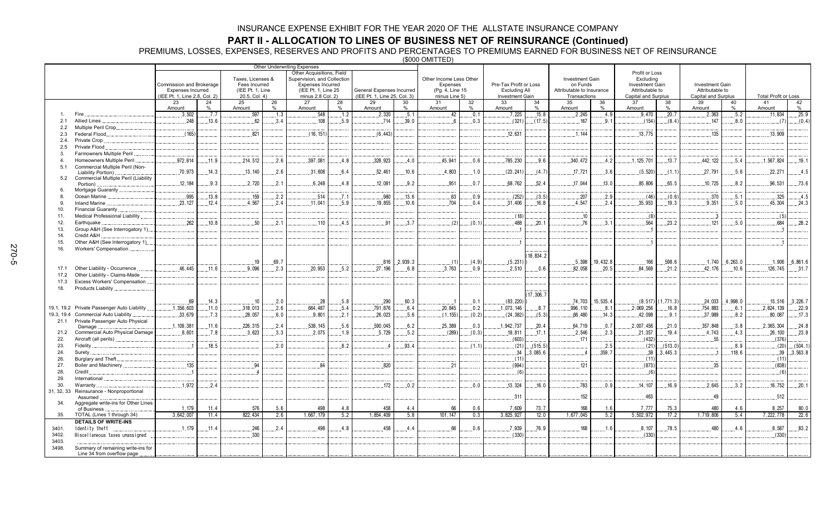**PART II - ALLOCATION TO LINES OF BUSINESS NET OF REINSURANCE (Continued)<br>PREMIUMS, LOSSES, EXPENSES, RESERVES AND PROFITS AND PERCENTAGES TO PREMIUMS EARNED FOR BUSINESS NET OF REINSURANCE<br>(\$000 OMITTED)** 

|                |                                                             |                                                           |       |                                   |       | Other Underwriting Expenses              |      |                                                           |               |                                  |               |                                         |               |                                           |               |                                               |                         |                                        |               |                             |                     |
|----------------|-------------------------------------------------------------|-----------------------------------------------------------|-------|-----------------------------------|-------|------------------------------------------|------|-----------------------------------------------------------|---------------|----------------------------------|---------------|-----------------------------------------|---------------|-------------------------------------------|---------------|-----------------------------------------------|-------------------------|----------------------------------------|---------------|-----------------------------|---------------------|
|                |                                                             |                                                           |       |                                   |       | Other Acquisitions, Field                |      |                                                           |               |                                  |               |                                         |               |                                           |               | Profit or Loss                                |                         |                                        |               |                             |                     |
|                |                                                             |                                                           |       | Taxes, Licenses &                 |       | Supervision, and Collection              |      |                                                           |               | Other Income Less Other          |               |                                         |               | Investment Gain                           |               | Excluding                                     |                         |                                        |               |                             |                     |
|                |                                                             | Commission and Brokerage                                  |       | Fees Incurred                     |       | <b>Expenses Incurred</b>                 |      |                                                           |               | Expenses                         |               | Pre-Tax Profit or Loss                  |               | on Funds                                  |               | <b>Investment Gain</b>                        |                         | Investment Gain                        |               |                             |                     |
|                |                                                             | <b>Expenses Incurred</b><br>(IEE Pt. 1, Line 2.8, Col. 2) |       | (IEE Pt. 1, Line<br>20.5, Col. 4) |       | (IEE Pt. 1, Line 25<br>minus 2.8 Col. 2) |      | General Expenses Incurred<br>(IEE Pt. 1, Line 25, Col. 3) |               | (Pg. 4, Line 15<br>minus Line 5) |               | <b>Excluding All</b><br>Investment Gain |               | Attributable to Insurance<br>Transactions |               | Attributable to<br><b>Capital and Surplus</b> |                         | Attributable to<br>Capital and Surplus |               | <b>Total Profit or Loss</b> |                     |
|                |                                                             | 23                                                        | 24    | 25                                | 26    | 27                                       | 28   | 29                                                        | 30            | 31                               | 32            | 33                                      | 34            | 35                                        | 36            | 37                                            | 38                      | 39                                     | 40            | 41                          | 42                  |
|                |                                                             | Amount                                                    | $\%$  | Amount                            | 0/2   | Amount                                   | $\%$ | Amount                                                    | $\frac{0}{0}$ | Amount                           | $\frac{9}{6}$ | Amount                                  | $\frac{1}{2}$ | Amount                                    | $\frac{0}{0}$ | Amount                                        | $\frac{9}{6}$           | Amount                                 | $\frac{0}{0}$ | Amount                      | $\%$                |
|                | Fire                                                        | .3,502                                                    | .7.7  | .597                              | .1.3  | 548                                      | .1.2 | .2,320                                                    | .5.1          | .42                              | .0.1          | .7,225                                  | .15.8         | .2,245                                    | .4.9          | .9,470                                        | .20.7                   | .2,363                                 | .5.2          | 11,834                      | .25.9               |
| 2.1            | Allied Lines                                                | .248                                                      | .13.6 | 62                                | 3.4   | 108                                      | 5.9  | .714                                                      | .39.0         | 6                                | .0.3          | (321)                                   | (17.5)        | .167                                      | .9.1          | (154)                                         | (8.4)                   | .147                                   | .8.0          | (7)                         | (0.4)               |
| 2.2            | Multiple Peril Crop                                         |                                                           |       |                                   |       |                                          |      |                                                           |               |                                  |               |                                         |               |                                           |               |                                               |                         |                                        |               |                             |                     |
| 2.3            | Federal Flood                                               | (165)                                                     |       | .821                              |       | (16.151)                                 |      | (6.443)                                                   |               |                                  |               | .12.631                                 |               | .1.144                                    |               | .13.775                                       |                         | 135                                    |               | 13.909                      |                     |
| 2.4.           | Private Crop                                                |                                                           |       |                                   |       |                                          |      |                                                           |               |                                  |               |                                         |               |                                           |               |                                               |                         |                                        |               |                             |                     |
| 2.5            | Private Flood                                               |                                                           |       |                                   |       |                                          |      |                                                           |               |                                  |               |                                         |               |                                           |               |                                               |                         |                                        |               |                             |                     |
| 3.             | Farmowners Multiple Peril                                   |                                                           |       |                                   |       |                                          |      |                                                           |               |                                  |               |                                         |               |                                           |               |                                               |                         |                                        |               |                             |                     |
| $\overline{a}$ | Homeowners Multiple Peril                                   | 972.814                                                   | .11.9 | .214,512                          | .2.6  | .397,081                                 | .4.8 | .328,923                                                  | .4.0          | .45,941                          | 0.6           | .785,230                                | .9.6          | 340,472                                   | .4.2          | 1, 125, 701                                   | .13.7                   | 442, 122                               | .5.4          | .1,567,824                  | .19.1               |
| 5.1            | Commercial Multiple Peril (Non-                             |                                                           |       |                                   |       |                                          |      |                                                           |               |                                  |               |                                         |               |                                           |               |                                               |                         |                                        |               |                             |                     |
| 5.2            | Liability Portion).<br>Commercial Multiple Peril (Liability | 70,973                                                    | .14.3 | .13, 140                          | .2.6  | .31,608                                  | 6.4  | .52,461                                                   | .10.6         | .4,803                           | .1.0          | (23, 241)                               | (4.7)         | .17,721                                   | .3.6          | (5, 520)                                      | (1.1)                   | .27,791                                | .5.6          | .22.271                     | .4.5                |
|                | Portion).                                                   | .12.184                                                   | .9.3  | .2,720                            | .2.1  | .6,248                                   | .4.8 | 12.081                                                    | .9.2          | .951                             | .0.7          | .68,762                                 | .52.4         | .17,044                                   | 13.0          | .85,806                                       | .65.5                   | .10,725                                | 8.2           | .96,531                     | .73.6               |
|                | Mortgage Guaranty                                           |                                                           |       |                                   |       |                                          |      |                                                           |               |                                  |               |                                         |               |                                           |               |                                               |                         |                                        |               |                             |                     |
| -8.            | Ocean Marine                                                | .995                                                      | .13.8 | .159                              | .2.2  | .514                                     | .7.1 | .980                                                      | .13.6         | .63                              | 0.9           | (252)                                   | (3.5)         | .207                                      | .2.9          | (46)                                          | (0.6)                   | .370                                   | .5.1          | .325                        | .4.5                |
| 9.             | Inland Marine.                                              | .23.127                                                   | .12.4 | .4.567                            | .2.4  | .11,041                                  | .5.9 | 19.855                                                    | ,10.6         | .704                             | 0.4           | 31,406                                  | .16.8         | .4,547                                    | 2.4           | .35,953                                       | .19.3                   | 9.351                                  | .5.0          | 45,304                      | .24.3               |
| 10.            | Financial Guaranty.                                         |                                                           |       |                                   |       |                                          |      |                                                           |               |                                  |               |                                         |               |                                           |               |                                               |                         |                                        |               |                             |                     |
| 11.            | Medical Professional Liability.                             |                                                           |       |                                   |       |                                          |      |                                                           |               |                                  |               | (18)                                    |               | .10                                       |               | (8)                                           |                         | . . 3                                  |               | (5)                         |                     |
| 12.            | Earthquake.                                                 | 262                                                       | 10.8  | 50                                | .2.1  | 110                                      | 4.5  | 91                                                        | 3.7           | (2)                              | (0, 1)        | 488                                     | 20.1          | 76                                        | 3.1           | .564                                          | 23.2                    | 121                                    | 5.0           | 684                         | .28.2               |
| 13.            | Group A&H (See Interrogatory 1).                            |                                                           |       |                                   |       |                                          |      |                                                           |               |                                  |               |                                         |               |                                           |               |                                               |                         |                                        |               |                             |                     |
| 14.            | Credit A&H.                                                 |                                                           |       |                                   |       |                                          |      |                                                           |               |                                  |               |                                         |               |                                           |               |                                               |                         |                                        |               |                             |                     |
| 15.            | Other A&H (See Interrogatory 1)                             |                                                           |       |                                   |       |                                          |      |                                                           |               |                                  |               |                                         |               |                                           |               |                                               |                         |                                        |               |                             |                     |
| 16.            | Workers' Compensation                                       |                                                           |       |                                   |       |                                          |      |                                                           |               |                                  |               |                                         |               |                                           |               |                                               |                         |                                        |               |                             |                     |
|                |                                                             |                                                           |       |                                   |       |                                          |      |                                                           |               |                                  |               |                                         | 18,834.2      |                                           |               |                                               |                         |                                        |               |                             |                     |
|                |                                                             |                                                           |       | .19                               | .69.7 |                                          |      | .816                                                      | 2.939.3       | (1)                              | (4.9)         | (5, 231)                                |               | .5.398                                    | 19,432.8      | .166                                          | 598.6                   | .1.740                                 | .6,263.0      |                             | $.1,906$ $.6,861.6$ |
| 17.1           | Other Liability - Occurrence                                | 46.445                                                    | .11.6 | 9.096                             | 2.3   | 20.953                                   | 5.2  | 27.196                                                    | 6.8           | 3.763                            | 0.9           | 2.510                                   | 0.6           | 82.058                                    | .20.5         | 84.569                                        | 21.2                    | 42.176                                 | .10.6         | 126,745                     | $\dots$ 31.7        |
| 17.2           | Other Liability - Claims-Made                               |                                                           |       |                                   |       |                                          |      |                                                           |               |                                  |               |                                         |               |                                           |               |                                               |                         |                                        |               |                             |                     |
| 17.3           | Excess Workers' Compensation                                |                                                           |       |                                   |       |                                          |      |                                                           |               |                                  |               |                                         |               |                                           |               |                                               |                         |                                        |               |                             |                     |
| 18.            | Products Liability                                          |                                                           |       |                                   |       |                                          |      |                                                           |               |                                  |               |                                         |               |                                           |               |                                               |                         |                                        |               |                             |                     |
|                |                                                             |                                                           |       |                                   |       |                                          |      |                                                           |               |                                  |               |                                         | 17,306.7      |                                           |               |                                               |                         |                                        |               |                             |                     |
|                |                                                             | .69                                                       | .14.3 | .10                               | .2.0  | .28                                      | .5.8 | .290                                                      | 60.3          | - 1                              | .0.1          | (83, 220)                               |               | 74,703                                    | .15.535.4     |                                               | $(8, 517)$ $(1, 771.3)$ | .24.033                                | 4.998.0       |                             | $.15,516$ 3,226.7   |
|                | 19.1, 19.2 Private Passenger Auto Liability                 | 1.356.603                                                 | .11.0 | .318.013                          | 2.6   | 664.487                                  | .5.4 | 791.876                                                   | 6.4           | 20.845                           | 0.2           | .1.073.146                              | 8.7           | 996.110                                   | 8.1           | .2.069.256                                    | .16.8                   | .754.883                               | .6.1          | 2.824.139                   | 22.9                |
| 19.3, 19.4     | Commercial Auto Liability                                   | .33,679                                                   | .7.3  | .28,057                           | 6.0   | .9,801                                   | .2.1 | .26,023                                                   | .5.6          | (1, 155)                         | (0.2)         | (24, 382)                               | (5.3)         | .66,480                                   | .14.3         | .42,098                                       | .9.1                    | .37,989                                | .8.2          | 80,087                      | .17.3               |
| 21.1           | Private Passenger Auto Physical<br>Damage.                  | .1, 109, 381                                              | .11.6 | 226,315                           | .2.4  | .538, 145                                | .5.6 | .590,045                                                  | 6.2           | 25,389                           | .0.3          | .1,942,737                              | ,20.4         | 64,719                                    | .0.7          | .2,007,456                                    | 21.0                    | .357,848                               | .3.8          | 2,365,304                   | .24.8               |
| 21.2           | Commercial Auto Physical Damage                             | .8,601                                                    | .7.8  | .3,623                            | 3.3   | .2.075                                   | .1.9 | .5.729                                                    | .5.2          | (289)                            | (0.3)         | .18, 811                                | .17.1         | .2.546                                    | .2.3          | 21,357                                        | .19.4                   | 4,743                                  | .4.3          | .26, 100                    | .23.8               |
| 22.            | Aircraft (all perils)                                       |                                                           |       |                                   |       |                                          |      |                                                           |               |                                  |               | (603)                                   |               | .171                                      |               | (432)                                         |                         | .55                                    |               | (376)                       |                     |
| 23.            | Fidelity.                                                   | $\overline{1}$                                            | .18.5 |                                   | .2.0  |                                          | .8.2 | $\overline{a}$                                            | .93.4         |                                  | (1.1)         | (21)                                    | (515.5)       |                                           | .2.5          | (21)                                          | (513.0)                 |                                        | 0.8           | (20)                        | (504.1)             |
| 24.            | Surety.                                                     |                                                           |       |                                   |       |                                          |      |                                                           |               |                                  |               | . . 34                                  | 3,085.6       |                                           | .359.7        | .38                                           | .3,445.3                |                                        | .118.6        | .39                         | 3,563.8             |
| 26.            | Burglary and Theft                                          |                                                           |       |                                   |       |                                          |      |                                                           |               |                                  |               | (11)                                    |               |                                           |               | (11)                                          |                         |                                        |               | (11)                        |                     |
| 27.            | Boiler and Machinery                                        | 135                                                       |       | .94                               |       | 84                                       |      | .820                                                      |               | 21                               |               | (994)                                   |               | .121                                      |               | (873)                                         |                         | .35                                    |               | (838)                       |                     |
| 28.            | Credit                                                      |                                                           |       |                                   |       |                                          |      |                                                           |               |                                  |               | (6)                                     |               |                                           |               | (6)                                           |                         |                                        |               | (6)                         |                     |
| 29.            | International                                               |                                                           |       |                                   |       |                                          |      |                                                           |               |                                  |               |                                         |               |                                           |               |                                               |                         |                                        |               |                             |                     |
| 30.            | Warranty                                                    | .1,972                                                    | .2.4  |                                   |       |                                          |      | 172                                                       | .0.2          |                                  | 0.0           | 13,324                                  | 16.0          | .783                                      | 0.9           | .14.107                                       | 16.9                    | 2,645                                  | 3.2           | 16,752                      | 20.1                |
| 31, 32, 33     | Reinsurance - Nonproportional                               |                                                           |       |                                   |       |                                          |      |                                                           |               |                                  |               |                                         |               |                                           |               |                                               |                         |                                        |               |                             |                     |
|                | Assumed                                                     |                                                           |       |                                   |       |                                          |      |                                                           |               |                                  |               | .311                                    |               | 152                                       |               | 463                                           |                         | 49                                     |               | 512                         |                     |
| 34.            | Aggregate write-ins for Other Lines<br>of Business          | 1, 179                                                    | 11.4  | 576                               | 5.6   | 498                                      | 4.8  | 458                                                       | 4.4           | 66                               | 0.6           | 7,609                                   | 73.7          | 168                                       | 1.6           | 7,777                                         | 75.3                    | 480                                    | 4.6           | 8,257                       | 80.0                |
| 35.            | TOTAL (Lines 1 through 34)                                  | 3,642,007                                                 | 11.4  | 822,434                           | 2.6   | 1,667,179                                | 5.2  | 1,854,409                                                 | 5.8           | 101, 147                         | 0.3           | 3,825,927                               | 12.0          | 1,677,045                                 | 5.2           | 5,502,972                                     | 17.2                    | 1,719,806                              | 5.4           | 7,222,778                   | 22.6                |
|                | <b>DETAILS OF WRITE-INS</b>                                 |                                                           |       |                                   |       |                                          |      |                                                           |               |                                  |               |                                         |               |                                           |               |                                               |                         |                                        |               |                             |                     |
| 3401.          | Identity theft                                              | 1.179                                                     | .11.4 | .246                              | .2.4  | 498                                      | .4.8 | 458                                                       | .4.4          | .66                              | 0.6           | .7.939                                  | .76.9         | 168                                       | .1.6          | .8,107                                        | .78.5                   | .480                                   | .4.6          | .8,587                      | 83.2                |
| 3402.          | Miscellaneous taxes unassigned                              |                                                           |       | .330                              |       |                                          |      |                                                           |               |                                  |               | (330)                                   |               |                                           |               | (330)                                         |                         |                                        |               | (330)                       |                     |
| 3403.          |                                                             |                                                           |       |                                   |       |                                          |      |                                                           |               |                                  |               |                                         |               |                                           |               |                                               |                         |                                        |               |                             |                     |
| 3498.          | Summary of remaining write-ins for                          |                                                           |       |                                   |       |                                          |      |                                                           |               |                                  |               |                                         |               |                                           |               |                                               |                         |                                        |               |                             |                     |
|                | Line 34 from overflow page                                  |                                                           |       |                                   |       |                                          |      |                                                           |               |                                  |               |                                         |               |                                           |               |                                               |                         |                                        |               |                             |                     |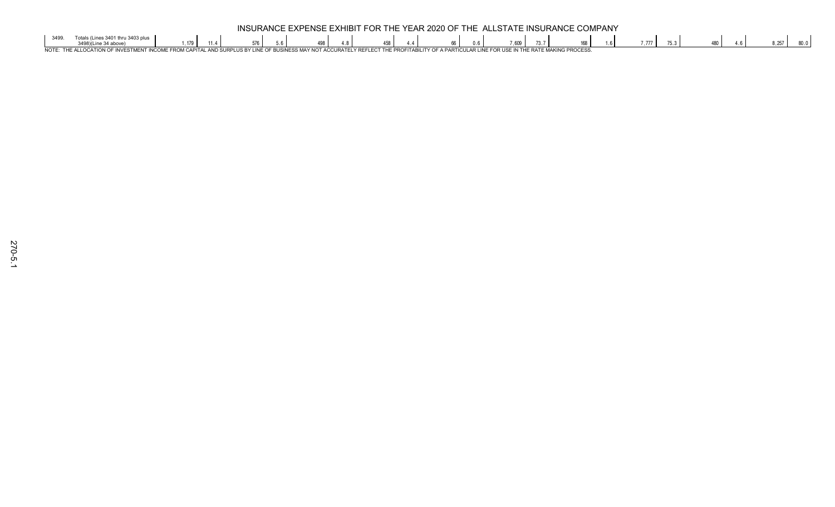|             | EXPENSE EXHIBIT FOR THE YEAR 2020 OF THE ALLSTATE INSURANCE C<br><b>COMPANY</b><br><b>INSURANCE E.</b> |  |  |  |  |  |  |  |  |  |  |        |  |               |  |         |  |  |  |  |      |      |
|-------------|--------------------------------------------------------------------------------------------------------|--|--|--|--|--|--|--|--|--|--|--------|--|---------------|--|---------|--|--|--|--|------|------|
|             |                                                                                                        |  |  |  |  |  |  |  |  |  |  | $\sim$ |  | $\sim$<br>100 |  | . / / / |  |  |  |  | .257 | JV.V |
| <b>NIOT</b> | <b>III AD I INIF</b><br>ACCIID                                                                         |  |  |  |  |  |  |  |  |  |  |        |  |               |  |         |  |  |  |  |      |      |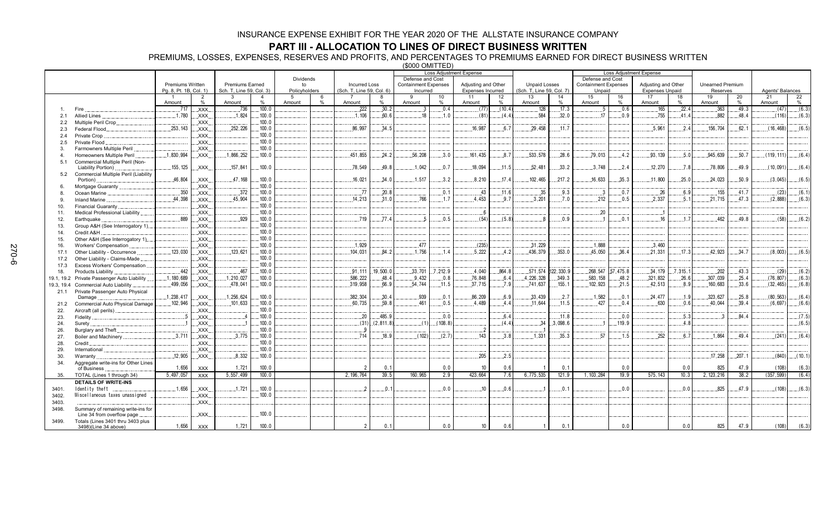### **PART III - ALLOCATION TO LINES OF DIRECT BUSINESS WRITTEN**

PREMIUMS, LOSSES, EXPENSES, RESERVES AND PROFITS, AND PERCENTAGES TO PREMIUMS EARNED FOR DIRECT BUSINESS WRITTEN

(\$000 OMITTED)

|                |                                      |                        |                     |                          |                     |               |               |                           |               |                             |          | <b>Loss Adjustment Expense</b> |                         |                                                                                                                           |           |              | <b>Loss Adjustment Expense</b> |                        |          |              |         |                  |         |
|----------------|--------------------------------------|------------------------|---------------------|--------------------------|---------------------|---------------|---------------|---------------------------|---------------|-----------------------------|----------|--------------------------------|-------------------------|---------------------------------------------------------------------------------------------------------------------------|-----------|--------------|--------------------------------|------------------------|----------|--------------|---------|------------------|---------|
|                |                                      |                        |                     |                          |                     | Dividends     |               |                           |               | Defense and Cost            |          |                                |                         | Defense and Cost<br><b>Unpaid Losses</b><br><b>Containment Expenses</b><br>Adjusting and Other<br><b>Unearned Premium</b> |           |              |                                |                        |          |              |         |                  |         |
|                |                                      | Premiums Written       |                     | <b>Premiums Earned</b>   |                     | to            |               | <b>Incurred Loss</b>      |               | <b>Containment Expenses</b> |          | Adjusting and Other            |                         |                                                                                                                           |           |              |                                |                        |          |              |         |                  |         |
|                |                                      | Pg. 8, Pt. 1B, Col. 1) |                     | Sch. T, Line 59, Col. 3) |                     | Policyholders |               | (Sch. T, Line 59, Col. 6) |               | Incurred                    |          | <b>Expenses Incurred</b>       |                         | (Sch. T, Line 59, Col. 7)                                                                                                 |           | Unpaid       |                                | <b>Expenses Unpaid</b> |          | Reserves     |         | Agents' Balances |         |
|                |                                      | Amount                 | $\overline{2}$<br>% | 3<br>Amount              | $\overline{4}$<br>% | 5<br>Amount   | $\frac{0}{0}$ | Amount                    | $\frac{0}{0}$ | $\alpha$<br>Amount          | 10<br>%  | 11<br>Amount                   | 12 <sup>2</sup><br>$\%$ | 13<br>Amount                                                                                                              | 14<br>%   | 15<br>Amount | 16<br>%                        | 17<br>Amount           | 18<br>%  | 19<br>Amount | 20<br>% | 21<br>Amount     | 22<br>% |
|                | Fire                                 | 717                    | XXX.                | 736                      | .100.0              |               |               | .222                      | .30.2         | -3                          | .0.4     | (77)                           | (10.4)                  | 128                                                                                                                       | .17.3     | - 5          | 0.6                            | .165                   | .22.4    | .363         | .49.3   | (47)             | (6.3)   |
| 2.1            | <b>Allied Lines</b>                  | .1.780                 | XXX.                | .1.824                   | 100.0               |               |               | .1.106                    | 60.6          | 18                          | .1.0     | (81)                           | (4.4)                   | 584                                                                                                                       | 32.0      | 17           | 0.9                            | .755                   | .41.4    | 882          | 48.4    | (116)            | (6.3)   |
| 2.2            | Multiple Peril Crop.                 |                        | XXX.                |                          | .100.0              |               |               |                           |               |                             |          |                                |                         |                                                                                                                           |           |              |                                |                        |          |              |         |                  |         |
| 2.3            | Federal Flood.                       | .253.143               | XXX.                | .252,226                 | 100.0               |               |               | 86.997                    | 34.5          |                             |          | 16.987                         | 6.7                     | 29.458                                                                                                                    | .11.7     |              |                                | .5.961                 | 2.4      | .156,704     | 62.1    | (16, 468)        | (6.5)   |
| 2.4            | Private Crop                         |                        | XXX.                |                          | 100.0               |               |               |                           |               |                             |          |                                |                         |                                                                                                                           |           |              |                                |                        |          |              |         |                  |         |
| 2.5            | Private Flood                        |                        | XXX.                |                          | 100.0               |               |               |                           |               |                             |          |                                |                         |                                                                                                                           |           |              |                                |                        |          |              |         |                  |         |
| 3.             | Farmowners Multiple Peril            |                        | XXX                 |                          | 100.0               |               |               |                           |               |                             |          |                                |                         |                                                                                                                           |           |              |                                |                        |          |              |         |                  |         |
| $\overline{4}$ | Homeowners Multiple Peril            | .1,830,994             | XXX.                | .1,866,252               | .100.0              |               |               | .451,855                  | .24.2         | .56,208                     | .3.0     | 161.435                        | .8.7                    | .533,578                                                                                                                  | .28.6     | .79,013      | .4.2                           | .93, 139               | .5.0     | .945,639     | .50.7   | (119, 111)       | (6.4)   |
| 5.1            | Commercial Multiple Peril (Non-      |                        |                     |                          |                     |               |               |                           |               |                             |          |                                |                         |                                                                                                                           |           |              |                                |                        |          |              |         |                  |         |
|                | Liability Portion).                  | 155, 125               | XXX.                | 157,841                  | .100.0              |               |               | .78,549                   | 49.8          | .1,042                      | 0.7      | 18,094                         | 11.5                    | 52,481                                                                                                                    | .33.2     | 3.748        | 2.4                            | .12,270                | 7.8      | .78,806      | 49.9    | (10, 091)        | (6.4)   |
| 5.2            | Commercial Multiple Peril (Liability |                        |                     |                          |                     |               |               |                           |               |                             |          |                                |                         |                                                                                                                           |           |              |                                |                        |          |              |         |                  |         |
|                | Portion)                             | .46,804                | XXX.                | .47,168                  | .100.0              |               |               | .16,021                   | .34.0         | .1.517                      | 3.2      | .8.210                         | 17.4                    | 102,465                                                                                                                   | .217.2    | 16.633       | .35.3                          | .11,800                | .25.0    | .24.023      | .50.9   | (3,045)          | (6.5)   |
| 6.             | Mortgage Guaranty                    |                        | XXX.                |                          | .100.0              |               |               |                           |               |                             |          |                                |                         |                                                                                                                           |           |              |                                |                        |          |              |         |                  |         |
| 8.             | Ocean Marine                         | .350                   | XXX.                | .372                     | 100.0               |               |               | .77                       | 20.8          |                             | .0.1     | .43                            | .11.6                   | .35                                                                                                                       | .9.3      | . 3          | .0.7                           | .26                    | .6.9     | 155          | .41.7   | (23)             | (6.1)   |
| 9.             | <b>Inland Marine</b>                 | 44,398                 | XXX.                | .45,904                  | .100.0              |               |               | .14,213                   | .31.0         | .766                        | .1.7     | .4.453                         | .9.7                    | .3,201                                                                                                                    | .7.0      | 212          | .0.5                           | 2,337                  | .5.1     | .21,715      | .47.3   | (2,888)          | (6.3)   |
| 10.            | Financial Guaranty                   |                        | XXX.                |                          | 100.0               |               |               |                           |               |                             |          |                                |                         |                                                                                                                           |           |              |                                |                        |          |              |         |                  |         |
| 11.            | Medical Professional Liability       |                        | XXX.                |                          | 100.0               |               |               |                           |               |                             |          | 6                              |                         |                                                                                                                           |           | .20          |                                | J.                     |          |              |         |                  |         |
| 12.            | Earthquake                           | .889                   | XXX.                | .929                     | .100.0              |               |               | .719                      | .77.4         |                             | .0.5     | (54)                           | (5.8)                   | -8                                                                                                                        | .0.9      |              | .0.1                           | .16                    | .1.7     | 462          | 49.8    | (58)             | (6.2)   |
| 13.            | Group A&H (See Interrogatory 1)      |                        | XXX.                |                          | .100.0              |               |               |                           |               |                             |          |                                |                         |                                                                                                                           |           |              |                                |                        |          |              |         |                  |         |
| 14.            | Credit A&H                           |                        | XXX.                |                          | .100.0              |               |               |                           |               |                             |          |                                |                         |                                                                                                                           |           |              |                                |                        |          |              |         |                  |         |
| 15.            | Other A&H (See Interrogatory 1)      |                        | XXX.                |                          | .100.0              |               |               |                           |               |                             |          |                                |                         |                                                                                                                           |           |              |                                |                        |          |              |         |                  |         |
| 16.            | <b>Workers' Compensation</b>         |                        | XXX.                |                          | 100.0               |               |               | .1.929                    |               | 477                         |          | (235)                          |                         | .31,229                                                                                                                   |           | .1.888       |                                | 3.460                  |          |              |         |                  |         |
| 17.1           | Other Liability - Occurrence         | 123,030                | XXX.                | .123.621                 | 100.0               |               |               | 104,031                   | 84.2          | .1.756                      | .1.4     | 5.222                          | 4.2                     | 436.379                                                                                                                   | .353.0    | 45.050       | 36.4                           | 21.331                 | .17.3    | .42.923      | .34.7   | (8,003)          | (6.5)   |
| 17.2           | Other Liability - Claims-Made        |                        | XXX.                |                          | 100.0               |               |               |                           |               |                             |          |                                |                         |                                                                                                                           |           |              |                                |                        |          |              |         |                  |         |
| 17.3           | Excess Workers' Compensation         |                        | XXX                 |                          | 100.0               |               |               |                           |               |                             |          |                                |                         |                                                                                                                           |           |              |                                |                        |          |              |         |                  |         |
| 18.            | Products Liability                   | .442                   | XXX.                | .467                     | .100.0              |               |               | .91,111                   | 19,500.0      | .33,701                     | .7,212.9 | .4,040                         | .864.8                  | .571,574                                                                                                                  | 122,330.9 | .268,547     | 57,475.8                       | .34, 179               | .7,315.1 | .202         | .43.3   | (29)             | (6.2)   |
| 19.1, 19.2     | Private Passenger Auto Liability     | 1,180,689              | XXX.                | .1, 210, 027             | .100.0              |               |               | .586,222                  | 48.4          | .9.432                      | 0.8      | .76,848                        | .6.4                    | 4,226,328                                                                                                                 | .349.3    | .583, 158    | .48.2                          | .321,832               | .26.6    | .307,039     | .25.4   | (76, 807)        | (6.3)   |
| 19.3, 19.4     | <b>Commercial Auto Liability</b>     | .499,056               | XXX.                | .478,041                 | .100.0              |               |               | .319,958                  | 66.9          | .54,744                     | .11.5    | .37,715                        | .7.9                    | 741,637                                                                                                                   | .155.1    | 102,923      | .21.5                          | .42.513                | .8.9     | .160,683     | .33.6   | (32, 465)        | (6.8)   |
| 21.1           | Private Passenger Auto Physical      |                        |                     |                          |                     |               |               |                           |               |                             |          |                                |                         |                                                                                                                           |           |              |                                |                        |          |              |         |                  |         |
|                | Damage                               | 1,238,417              | XXX.                | 1,256,624                | 100.0               |               |               | .382,304                  | 30.4          | .939                        | .0.1     | 86.209                         | 6.9                     | .33.439                                                                                                                   | .2.7      | .1,582       | .0.1                           | 24.477                 | .1.9     | 323.627      | .25.8   | (80.563)         | (6.4)   |
| 21.2           | Commercial Auto Physical Damage      | .102.946               | XXX.                | 101,633                  | .100.0              |               |               | .60,735                   | 59.8          | .461                        | .0.5     | 4.489                          | 4.4                     | 11.644                                                                                                                    | .11.5     | .427         | .0.4                           | .630                   | .0.6     | .40,044      | .39.4   | (6,697)          | (6.6)   |
| 22.            | Aircraft (all perils)                |                        | XXX.                |                          | .100.0              |               |               |                           |               |                             |          |                                |                         |                                                                                                                           |           |              |                                |                        |          |              |         |                  |         |
| 23.            | Fidelity                             |                        | XXX.                |                          | .100.0              |               |               | .20                       | 485.9         |                             | .0.0     |                                | .6.4                    |                                                                                                                           | .11.8     |              | 0.0                            |                        | .5.3     |              | .84.4   |                  | (7.5)   |
| 24.            | Surety                               |                        | XXX.                |                          | 100.0               |               |               | (31)                      | (2.811.8)     | (1)                         | (108.8)  |                                | (44)                    | 34                                                                                                                        | 3,098.6   |              | .119.9                         |                        | .4.8     |              |         |                  | (6.5)   |
| 26.            | Burglary and Theft                   |                        | XXX.                |                          | 100.0               |               |               | 9                         |               |                             |          | $\cdot$ 2                      |                         |                                                                                                                           |           |              |                                |                        |          |              |         |                  |         |
| 27.            | Boiler and Machinery                 | 3.711                  | XXX.                | 3.775                    | .100.0              |               |               | 714                       | 18.9          | (102)                       | (2.7)    | .143                           | 3.8                     | .1.331                                                                                                                    | .35.3     | 57           | .1.5                           | .252                   | 6.7      | 1.864        | 49.4    | (241)            | (6.4)   |
| 28.            | Credit                               |                        | XXX.                |                          | 100.0               |               |               |                           |               |                             |          |                                |                         |                                                                                                                           |           |              |                                |                        |          |              |         |                  |         |
| 29.            | International                        |                        | XXX                 |                          | .100.0              |               |               |                           |               |                             |          |                                |                         |                                                                                                                           |           |              |                                |                        |          |              |         |                  |         |
| 30.            | Warranty                             | .12,905                | XXX.                | .8,332                   | .100.0              |               |               |                           |               |                             |          | .205                           | .2.5                    |                                                                                                                           |           |              |                                |                        |          | .17,258      | .207.1  | (840)            | (10.1)  |
| 34.            | Aggregate write-ins for Other Lines  |                        |                     |                          |                     |               |               |                           |               |                             |          |                                |                         |                                                                                                                           |           |              |                                |                        |          |              |         |                  |         |
|                | of Business                          | 1,656                  | <b>XXX</b>          | 1,721                    | 100.0               |               |               | $\mathcal{P}$             | 0.1           |                             | 0.0      | 10                             | 0.6                     |                                                                                                                           | 0.1       |              | 0.0                            |                        | 0.0      | 825          | 47.9    | (108)            | (6.3)   |
| 35.            | TOTAL (Lines 1 through 34)           | 5,497,057              | <b>XXX</b>          | 5,557,499                | 100.0               |               |               | 2, 196, 764               | 39.5          | 160,965                     | 2.9      | 423,664                        | 7.6                     | 6,775,535                                                                                                                 | 121.9     | 1, 103, 284  | 19.9                           | 575, 143               | 10.3     | 2, 123, 216  | 38.2    | (357, 599)       | (6.4)   |
|                | <b>DETAILS OF WRITE-INS</b>          |                        |                     |                          |                     |               |               |                           |               |                             |          |                                |                         |                                                                                                                           |           |              |                                |                        |          |              |         |                  |         |
| 3401.          | Identity theft                       | .1,656                 | .XXX.               | .1.721                   | .100.0              |               |               |                           | 0.1           |                             | 0.0      | .10                            | 0.6                     |                                                                                                                           | .0.1      |              | 0.0                            |                        | 0.0      | 825          | 47.9    | (108)            | (6.3)   |
| 3402.          | Miscellaneous taxes unassigned       |                        | XXX.                |                          | 100.0               |               |               |                           |               |                             |          |                                |                         |                                                                                                                           |           |              |                                |                        |          |              |         |                  |         |
| 3403.          |                                      |                        | XXX.                |                          |                     |               |               |                           |               |                             |          |                                |                         |                                                                                                                           |           |              |                                |                        |          |              |         |                  |         |
| 3498.          | Summary of remaining write-ins for   |                        |                     |                          |                     |               |               |                           |               |                             |          |                                |                         |                                                                                                                           |           |              |                                |                        |          |              |         |                  |         |
|                | Line 34 from overflow page           |                        | XXX.                |                          | .100.0              |               |               |                           |               |                             |          |                                |                         |                                                                                                                           |           |              |                                |                        |          |              |         |                  |         |
| 3499.          | Totals (Lines 3401 thru 3403 plus    | 1,656                  | <b>XXX</b>          | 1,721                    | 100.0               |               |               | $\overline{2}$            | 0.1           |                             | 0.0      | 10                             | 0.6                     | $\mathbf{1}$                                                                                                              | 0.1       |              | 0.0                            |                        | 0.0      | 825          | 47.9    | (108)            | (6.3)   |
|                | 3498)(Line 34 above)                 |                        |                     |                          |                     |               |               |                           |               |                             |          |                                |                         |                                                                                                                           |           |              |                                |                        |          |              |         |                  |         |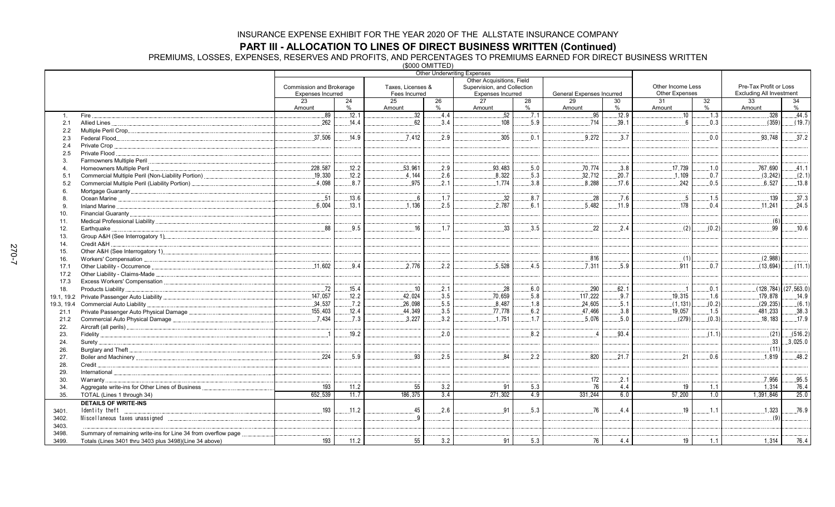**PART III - ALLOCATION TO LINES OF DIRECT BUSINESS WRITTEN (Continued)<br>PREMIUMS, LOSSES, EXPENSES, RESERVES AND PROFITS, AND PERCENTAGES TO PREMIUMS EARNED FOR DIRECT BUSINESS WRITTEN<br>(\$000 OMITTED)** 

| Other Acquisitions, Field<br>Pre-Tax Profit or Loss<br>Other Income Less<br>Commission and Brokerage<br>Taxes, Licenses &<br>Supervision, and Collection<br><b>Other Expenses</b><br><b>Excluding All Investment</b><br><b>Expenses Incurred</b><br>Fees Incurred<br><b>Expenses Incurred</b><br>General Expenses Incurred<br>23<br>25<br>26<br>27<br>28<br>29<br>31<br>32<br>33<br>34<br>24<br>30<br>Amount<br>$\%$<br>%<br>Amount<br>$\%$<br>$\%$<br>$\%$<br>$\%$<br>Amount<br>Amount<br>Amount<br>Amount<br>.12.9<br>32<br>52<br>.44.5<br>.89<br>12.1<br>.4.4<br>.95<br>.10<br>328<br>.7.1<br>.1.3<br>Fire.<br>$\mathbf{1}$ .<br>62<br>108<br>714<br>(359)<br>(19.7)<br>.262<br>.14.4<br>.3.4<br>.5.9<br>.39.1<br>.0.3<br>Allied Lines<br>6<br>2.1<br>2.2<br>.37,506<br>.37.2<br>.7.412<br>.2.9<br>.305<br>.3.7<br>0.0<br>93,748<br>.14.9<br>0.1<br>9.272<br>2.3<br>Private Crop<br>2.4<br>Private Flood<br>2.5<br>3.<br>228,587<br>.12.2<br>.53,961<br>.2.9<br>93,483<br>.5.0<br>.70,774<br>.17,739<br>767,690<br>.41.1<br>.3.8<br>.1.0<br>Homeowners Multiple Peril<br>$\overline{4}$<br>.8,322<br>.19.330<br>.12.2<br>4.144<br>.2.6<br>.5.3<br>.32,712<br>.20.7<br>.1.109<br>.0.7<br>(3, 242)<br>(2.1)<br>5.1<br>4.098<br>8.7<br>975<br>2.1<br>.1.774<br>3.8<br>8.288<br>17.6<br>242<br>0.5<br>6.527<br>.13.8<br>Commercial Multiple Peril (Liability Portion)<br>5.2<br>6<br>.37.3<br>139<br>.13.6<br>.1.7<br>.32<br>.8.7<br>.28<br>.7.6<br>.51<br>.5<br>1.5<br>6<br>8<br>.2.5<br>.2,787<br>6,004<br>1.136<br>.5,482<br>.11.9<br>178<br>.11,241<br>.24.5<br>.13.1<br>6.1<br>0.4<br>9<br>10.<br>(6)<br>11.<br>.1.7<br>.33<br>.10.6<br>88<br>.9.5<br>.16<br>3.5<br>22<br>.2.4<br>99<br>(2)<br>(0.2)<br>12.<br>Earthquake<br>13.<br>Credit A&H<br>14.<br>15.<br>(2,988)<br>.816<br>(1)<br>16.<br>11,602<br>.2,776<br>.2.2<br>.5,528<br>.4.5<br>.5.9<br>.9.4<br>7.311<br>911<br>.0.7<br>(13,694)<br>17.1<br>17.2<br>17.3<br>.72<br>.15.4<br>.10<br>.2.1<br>.28<br>.6.0<br>.290<br>.62.1<br>.0.1<br>$(128, 784)$ $(27, 563.0)$<br>Products Liability<br>$\cdot$ .1<br>18.<br>.147,057<br>.42.024<br>.3.5<br>.70.659<br>.9.7<br>.19.315<br>12.2<br>.5.8<br>.117,222<br>179.878<br>.14.9<br>.1.6<br>.34,537<br>.26,098<br>.5.5<br>8,487<br>.24,605<br>.7.2<br>.1.8<br>.5.1<br>(1, 131)<br>(0.2)<br>(29, 235)<br>(6.1)<br>Commercial Auto Liability<br>19.3, 19.4<br>.3.5<br>.19.057<br>.155,403<br>12.4<br>.44,349<br>.77,778<br>.6.2<br>.47,466<br>.3.8<br>.1.5<br>.481,233<br>.38.3<br>21.1<br>(279)<br>.17.9<br>.7.434<br>7.3<br>3.227<br>3.2<br>.1.751<br>.1.7<br>5.076<br>5.0<br>.18.183<br>(0.3)<br>21.2<br>22.<br>19.2<br>2.0<br>(21)<br>(516.2)<br>.8.2<br>.93.4<br>(1.1)<br>$\overline{1}$<br>23.<br>$\overline{4}$<br>.33<br>.3.025.0<br>24.<br>(11)<br>Burglary and Theft<br>26.<br>224<br>93<br>.2.5<br>21<br>.48.2<br>5.9<br>84<br>2.2<br>820<br>21.7<br>0.6<br>1.819<br>27.<br>28.<br>Credit<br>29.<br>International<br>7,956<br>.95.5<br>172<br>.2.1<br>30.<br>Warranty<br>193<br>55<br>3.2<br>5.3<br>Aggregate write-ins for Other Lines of Business.<br>11.2<br>91<br>76<br>4.4<br>19<br>1.1<br>76.4<br>1,314<br>34.<br>652,539<br>3.4<br>271,302<br>331,244<br>6.0<br>57,200<br>25.0<br>11.7<br>186.375<br>4.9<br>1.0<br>1.391.846<br>35.<br>TOTAL (Lines 1 through 34)<br><b>DETAILS OF WRITE-INS</b><br>.5.3<br>193<br>.11.2<br>.45<br>.2.6<br>91<br>76<br>4.4<br>19<br>.1.1<br>1,323<br>.76.9<br>Identity theft<br>.<br>3401.<br>(9)<br>$\Omega$<br>3402.<br>3403.<br>Summary of remaining write-ins for Line 34 from overflow page.<br>3498. |       |                                                        |     |      |    | $V = V - V - V - V - V - V$ | <b>Other Underwriting Expenses</b> |     |    |     |    |     |       |      |
|--------------------------------------------------------------------------------------------------------------------------------------------------------------------------------------------------------------------------------------------------------------------------------------------------------------------------------------------------------------------------------------------------------------------------------------------------------------------------------------------------------------------------------------------------------------------------------------------------------------------------------------------------------------------------------------------------------------------------------------------------------------------------------------------------------------------------------------------------------------------------------------------------------------------------------------------------------------------------------------------------------------------------------------------------------------------------------------------------------------------------------------------------------------------------------------------------------------------------------------------------------------------------------------------------------------------------------------------------------------------------------------------------------------------------------------------------------------------------------------------------------------------------------------------------------------------------------------------------------------------------------------------------------------------------------------------------------------------------------------------------------------------------------------------------------------------------------------------------------------------------------------------------------------------------------------------------------------------------------------------------------------------------------------------------------------------------------------------------------------------------------------------------------------------------------------------------------------------------------------------------------------------------------------------------------------------------------------------------------------------------------------------------------------------------------------------------------------------------------------------------------------------------------------------------------------------------------------------------------------------------------------------------------------------------------------------------------------------------------------------------------------------------------------------------------------------------------------------------------------------------------------------------------------------------------------------------------------------------------------------------------------------------------------------------------------------------------------------------------------------------------------------------------------------------------------------------------------------------------------------------------------------------------------------------------------------------------------------------------------------------------------------------------------------------------------------------------------------------------------------------------------------------------------------------------------------|-------|--------------------------------------------------------|-----|------|----|-----------------------------|------------------------------------|-----|----|-----|----|-----|-------|------|
| (11.1)                                                                                                                                                                                                                                                                                                                                                                                                                                                                                                                                                                                                                                                                                                                                                                                                                                                                                                                                                                                                                                                                                                                                                                                                                                                                                                                                                                                                                                                                                                                                                                                                                                                                                                                                                                                                                                                                                                                                                                                                                                                                                                                                                                                                                                                                                                                                                                                                                                                                                                                                                                                                                                                                                                                                                                                                                                                                                                                                                                                                                                                                                                                                                                                                                                                                                                                                                                                                                                                                                                                                                             |       |                                                        |     |      |    |                             |                                    |     |    |     |    |     |       |      |
|                                                                                                                                                                                                                                                                                                                                                                                                                                                                                                                                                                                                                                                                                                                                                                                                                                                                                                                                                                                                                                                                                                                                                                                                                                                                                                                                                                                                                                                                                                                                                                                                                                                                                                                                                                                                                                                                                                                                                                                                                                                                                                                                                                                                                                                                                                                                                                                                                                                                                                                                                                                                                                                                                                                                                                                                                                                                                                                                                                                                                                                                                                                                                                                                                                                                                                                                                                                                                                                                                                                                                                    |       |                                                        |     |      |    |                             |                                    |     |    |     |    |     |       |      |
|                                                                                                                                                                                                                                                                                                                                                                                                                                                                                                                                                                                                                                                                                                                                                                                                                                                                                                                                                                                                                                                                                                                                                                                                                                                                                                                                                                                                                                                                                                                                                                                                                                                                                                                                                                                                                                                                                                                                                                                                                                                                                                                                                                                                                                                                                                                                                                                                                                                                                                                                                                                                                                                                                                                                                                                                                                                                                                                                                                                                                                                                                                                                                                                                                                                                                                                                                                                                                                                                                                                                                                    |       |                                                        |     |      |    |                             |                                    |     |    |     |    |     |       |      |
|                                                                                                                                                                                                                                                                                                                                                                                                                                                                                                                                                                                                                                                                                                                                                                                                                                                                                                                                                                                                                                                                                                                                                                                                                                                                                                                                                                                                                                                                                                                                                                                                                                                                                                                                                                                                                                                                                                                                                                                                                                                                                                                                                                                                                                                                                                                                                                                                                                                                                                                                                                                                                                                                                                                                                                                                                                                                                                                                                                                                                                                                                                                                                                                                                                                                                                                                                                                                                                                                                                                                                                    |       |                                                        |     |      |    |                             |                                    |     |    |     |    |     |       |      |
|                                                                                                                                                                                                                                                                                                                                                                                                                                                                                                                                                                                                                                                                                                                                                                                                                                                                                                                                                                                                                                                                                                                                                                                                                                                                                                                                                                                                                                                                                                                                                                                                                                                                                                                                                                                                                                                                                                                                                                                                                                                                                                                                                                                                                                                                                                                                                                                                                                                                                                                                                                                                                                                                                                                                                                                                                                                                                                                                                                                                                                                                                                                                                                                                                                                                                                                                                                                                                                                                                                                                                                    |       |                                                        |     |      |    |                             |                                    |     |    |     |    |     |       |      |
|                                                                                                                                                                                                                                                                                                                                                                                                                                                                                                                                                                                                                                                                                                                                                                                                                                                                                                                                                                                                                                                                                                                                                                                                                                                                                                                                                                                                                                                                                                                                                                                                                                                                                                                                                                                                                                                                                                                                                                                                                                                                                                                                                                                                                                                                                                                                                                                                                                                                                                                                                                                                                                                                                                                                                                                                                                                                                                                                                                                                                                                                                                                                                                                                                                                                                                                                                                                                                                                                                                                                                                    |       |                                                        |     |      |    |                             |                                    |     |    |     |    |     |       |      |
|                                                                                                                                                                                                                                                                                                                                                                                                                                                                                                                                                                                                                                                                                                                                                                                                                                                                                                                                                                                                                                                                                                                                                                                                                                                                                                                                                                                                                                                                                                                                                                                                                                                                                                                                                                                                                                                                                                                                                                                                                                                                                                                                                                                                                                                                                                                                                                                                                                                                                                                                                                                                                                                                                                                                                                                                                                                                                                                                                                                                                                                                                                                                                                                                                                                                                                                                                                                                                                                                                                                                                                    |       |                                                        |     |      |    |                             |                                    |     |    |     |    |     |       |      |
|                                                                                                                                                                                                                                                                                                                                                                                                                                                                                                                                                                                                                                                                                                                                                                                                                                                                                                                                                                                                                                                                                                                                                                                                                                                                                                                                                                                                                                                                                                                                                                                                                                                                                                                                                                                                                                                                                                                                                                                                                                                                                                                                                                                                                                                                                                                                                                                                                                                                                                                                                                                                                                                                                                                                                                                                                                                                                                                                                                                                                                                                                                                                                                                                                                                                                                                                                                                                                                                                                                                                                                    |       |                                                        |     |      |    |                             |                                    |     |    |     |    |     |       |      |
|                                                                                                                                                                                                                                                                                                                                                                                                                                                                                                                                                                                                                                                                                                                                                                                                                                                                                                                                                                                                                                                                                                                                                                                                                                                                                                                                                                                                                                                                                                                                                                                                                                                                                                                                                                                                                                                                                                                                                                                                                                                                                                                                                                                                                                                                                                                                                                                                                                                                                                                                                                                                                                                                                                                                                                                                                                                                                                                                                                                                                                                                                                                                                                                                                                                                                                                                                                                                                                                                                                                                                                    |       |                                                        |     |      |    |                             |                                    |     |    |     |    |     |       |      |
|                                                                                                                                                                                                                                                                                                                                                                                                                                                                                                                                                                                                                                                                                                                                                                                                                                                                                                                                                                                                                                                                                                                                                                                                                                                                                                                                                                                                                                                                                                                                                                                                                                                                                                                                                                                                                                                                                                                                                                                                                                                                                                                                                                                                                                                                                                                                                                                                                                                                                                                                                                                                                                                                                                                                                                                                                                                                                                                                                                                                                                                                                                                                                                                                                                                                                                                                                                                                                                                                                                                                                                    |       |                                                        |     |      |    |                             |                                    |     |    |     |    |     |       |      |
|                                                                                                                                                                                                                                                                                                                                                                                                                                                                                                                                                                                                                                                                                                                                                                                                                                                                                                                                                                                                                                                                                                                                                                                                                                                                                                                                                                                                                                                                                                                                                                                                                                                                                                                                                                                                                                                                                                                                                                                                                                                                                                                                                                                                                                                                                                                                                                                                                                                                                                                                                                                                                                                                                                                                                                                                                                                                                                                                                                                                                                                                                                                                                                                                                                                                                                                                                                                                                                                                                                                                                                    |       |                                                        |     |      |    |                             |                                    |     |    |     |    |     |       |      |
|                                                                                                                                                                                                                                                                                                                                                                                                                                                                                                                                                                                                                                                                                                                                                                                                                                                                                                                                                                                                                                                                                                                                                                                                                                                                                                                                                                                                                                                                                                                                                                                                                                                                                                                                                                                                                                                                                                                                                                                                                                                                                                                                                                                                                                                                                                                                                                                                                                                                                                                                                                                                                                                                                                                                                                                                                                                                                                                                                                                                                                                                                                                                                                                                                                                                                                                                                                                                                                                                                                                                                                    |       |                                                        |     |      |    |                             |                                    |     |    |     |    |     |       |      |
|                                                                                                                                                                                                                                                                                                                                                                                                                                                                                                                                                                                                                                                                                                                                                                                                                                                                                                                                                                                                                                                                                                                                                                                                                                                                                                                                                                                                                                                                                                                                                                                                                                                                                                                                                                                                                                                                                                                                                                                                                                                                                                                                                                                                                                                                                                                                                                                                                                                                                                                                                                                                                                                                                                                                                                                                                                                                                                                                                                                                                                                                                                                                                                                                                                                                                                                                                                                                                                                                                                                                                                    |       |                                                        |     |      |    |                             |                                    |     |    |     |    |     |       |      |
|                                                                                                                                                                                                                                                                                                                                                                                                                                                                                                                                                                                                                                                                                                                                                                                                                                                                                                                                                                                                                                                                                                                                                                                                                                                                                                                                                                                                                                                                                                                                                                                                                                                                                                                                                                                                                                                                                                                                                                                                                                                                                                                                                                                                                                                                                                                                                                                                                                                                                                                                                                                                                                                                                                                                                                                                                                                                                                                                                                                                                                                                                                                                                                                                                                                                                                                                                                                                                                                                                                                                                                    |       |                                                        |     |      |    |                             |                                    |     |    |     |    |     |       |      |
|                                                                                                                                                                                                                                                                                                                                                                                                                                                                                                                                                                                                                                                                                                                                                                                                                                                                                                                                                                                                                                                                                                                                                                                                                                                                                                                                                                                                                                                                                                                                                                                                                                                                                                                                                                                                                                                                                                                                                                                                                                                                                                                                                                                                                                                                                                                                                                                                                                                                                                                                                                                                                                                                                                                                                                                                                                                                                                                                                                                                                                                                                                                                                                                                                                                                                                                                                                                                                                                                                                                                                                    |       |                                                        |     |      |    |                             |                                    |     |    |     |    |     |       |      |
|                                                                                                                                                                                                                                                                                                                                                                                                                                                                                                                                                                                                                                                                                                                                                                                                                                                                                                                                                                                                                                                                                                                                                                                                                                                                                                                                                                                                                                                                                                                                                                                                                                                                                                                                                                                                                                                                                                                                                                                                                                                                                                                                                                                                                                                                                                                                                                                                                                                                                                                                                                                                                                                                                                                                                                                                                                                                                                                                                                                                                                                                                                                                                                                                                                                                                                                                                                                                                                                                                                                                                                    |       |                                                        |     |      |    |                             |                                    |     |    |     |    |     |       |      |
|                                                                                                                                                                                                                                                                                                                                                                                                                                                                                                                                                                                                                                                                                                                                                                                                                                                                                                                                                                                                                                                                                                                                                                                                                                                                                                                                                                                                                                                                                                                                                                                                                                                                                                                                                                                                                                                                                                                                                                                                                                                                                                                                                                                                                                                                                                                                                                                                                                                                                                                                                                                                                                                                                                                                                                                                                                                                                                                                                                                                                                                                                                                                                                                                                                                                                                                                                                                                                                                                                                                                                                    |       |                                                        |     |      |    |                             |                                    |     |    |     |    |     |       |      |
|                                                                                                                                                                                                                                                                                                                                                                                                                                                                                                                                                                                                                                                                                                                                                                                                                                                                                                                                                                                                                                                                                                                                                                                                                                                                                                                                                                                                                                                                                                                                                                                                                                                                                                                                                                                                                                                                                                                                                                                                                                                                                                                                                                                                                                                                                                                                                                                                                                                                                                                                                                                                                                                                                                                                                                                                                                                                                                                                                                                                                                                                                                                                                                                                                                                                                                                                                                                                                                                                                                                                                                    |       |                                                        |     |      |    |                             |                                    |     |    |     |    |     |       |      |
|                                                                                                                                                                                                                                                                                                                                                                                                                                                                                                                                                                                                                                                                                                                                                                                                                                                                                                                                                                                                                                                                                                                                                                                                                                                                                                                                                                                                                                                                                                                                                                                                                                                                                                                                                                                                                                                                                                                                                                                                                                                                                                                                                                                                                                                                                                                                                                                                                                                                                                                                                                                                                                                                                                                                                                                                                                                                                                                                                                                                                                                                                                                                                                                                                                                                                                                                                                                                                                                                                                                                                                    |       |                                                        |     |      |    |                             |                                    |     |    |     |    |     |       |      |
|                                                                                                                                                                                                                                                                                                                                                                                                                                                                                                                                                                                                                                                                                                                                                                                                                                                                                                                                                                                                                                                                                                                                                                                                                                                                                                                                                                                                                                                                                                                                                                                                                                                                                                                                                                                                                                                                                                                                                                                                                                                                                                                                                                                                                                                                                                                                                                                                                                                                                                                                                                                                                                                                                                                                                                                                                                                                                                                                                                                                                                                                                                                                                                                                                                                                                                                                                                                                                                                                                                                                                                    |       |                                                        |     |      |    |                             |                                    |     |    |     |    |     |       |      |
|                                                                                                                                                                                                                                                                                                                                                                                                                                                                                                                                                                                                                                                                                                                                                                                                                                                                                                                                                                                                                                                                                                                                                                                                                                                                                                                                                                                                                                                                                                                                                                                                                                                                                                                                                                                                                                                                                                                                                                                                                                                                                                                                                                                                                                                                                                                                                                                                                                                                                                                                                                                                                                                                                                                                                                                                                                                                                                                                                                                                                                                                                                                                                                                                                                                                                                                                                                                                                                                                                                                                                                    |       |                                                        |     |      |    |                             |                                    |     |    |     |    |     |       |      |
|                                                                                                                                                                                                                                                                                                                                                                                                                                                                                                                                                                                                                                                                                                                                                                                                                                                                                                                                                                                                                                                                                                                                                                                                                                                                                                                                                                                                                                                                                                                                                                                                                                                                                                                                                                                                                                                                                                                                                                                                                                                                                                                                                                                                                                                                                                                                                                                                                                                                                                                                                                                                                                                                                                                                                                                                                                                                                                                                                                                                                                                                                                                                                                                                                                                                                                                                                                                                                                                                                                                                                                    |       |                                                        |     |      |    |                             |                                    |     |    |     |    |     |       |      |
|                                                                                                                                                                                                                                                                                                                                                                                                                                                                                                                                                                                                                                                                                                                                                                                                                                                                                                                                                                                                                                                                                                                                                                                                                                                                                                                                                                                                                                                                                                                                                                                                                                                                                                                                                                                                                                                                                                                                                                                                                                                                                                                                                                                                                                                                                                                                                                                                                                                                                                                                                                                                                                                                                                                                                                                                                                                                                                                                                                                                                                                                                                                                                                                                                                                                                                                                                                                                                                                                                                                                                                    |       |                                                        |     |      |    |                             |                                    |     |    |     |    |     |       |      |
|                                                                                                                                                                                                                                                                                                                                                                                                                                                                                                                                                                                                                                                                                                                                                                                                                                                                                                                                                                                                                                                                                                                                                                                                                                                                                                                                                                                                                                                                                                                                                                                                                                                                                                                                                                                                                                                                                                                                                                                                                                                                                                                                                                                                                                                                                                                                                                                                                                                                                                                                                                                                                                                                                                                                                                                                                                                                                                                                                                                                                                                                                                                                                                                                                                                                                                                                                                                                                                                                                                                                                                    |       |                                                        |     |      |    |                             |                                    |     |    |     |    |     |       |      |
|                                                                                                                                                                                                                                                                                                                                                                                                                                                                                                                                                                                                                                                                                                                                                                                                                                                                                                                                                                                                                                                                                                                                                                                                                                                                                                                                                                                                                                                                                                                                                                                                                                                                                                                                                                                                                                                                                                                                                                                                                                                                                                                                                                                                                                                                                                                                                                                                                                                                                                                                                                                                                                                                                                                                                                                                                                                                                                                                                                                                                                                                                                                                                                                                                                                                                                                                                                                                                                                                                                                                                                    |       |                                                        |     |      |    |                             |                                    |     |    |     |    |     |       |      |
|                                                                                                                                                                                                                                                                                                                                                                                                                                                                                                                                                                                                                                                                                                                                                                                                                                                                                                                                                                                                                                                                                                                                                                                                                                                                                                                                                                                                                                                                                                                                                                                                                                                                                                                                                                                                                                                                                                                                                                                                                                                                                                                                                                                                                                                                                                                                                                                                                                                                                                                                                                                                                                                                                                                                                                                                                                                                                                                                                                                                                                                                                                                                                                                                                                                                                                                                                                                                                                                                                                                                                                    |       |                                                        |     |      |    |                             |                                    |     |    |     |    |     |       |      |
|                                                                                                                                                                                                                                                                                                                                                                                                                                                                                                                                                                                                                                                                                                                                                                                                                                                                                                                                                                                                                                                                                                                                                                                                                                                                                                                                                                                                                                                                                                                                                                                                                                                                                                                                                                                                                                                                                                                                                                                                                                                                                                                                                                                                                                                                                                                                                                                                                                                                                                                                                                                                                                                                                                                                                                                                                                                                                                                                                                                                                                                                                                                                                                                                                                                                                                                                                                                                                                                                                                                                                                    |       |                                                        |     |      |    |                             |                                    |     |    |     |    |     |       |      |
|                                                                                                                                                                                                                                                                                                                                                                                                                                                                                                                                                                                                                                                                                                                                                                                                                                                                                                                                                                                                                                                                                                                                                                                                                                                                                                                                                                                                                                                                                                                                                                                                                                                                                                                                                                                                                                                                                                                                                                                                                                                                                                                                                                                                                                                                                                                                                                                                                                                                                                                                                                                                                                                                                                                                                                                                                                                                                                                                                                                                                                                                                                                                                                                                                                                                                                                                                                                                                                                                                                                                                                    |       |                                                        |     |      |    |                             |                                    |     |    |     |    |     |       |      |
|                                                                                                                                                                                                                                                                                                                                                                                                                                                                                                                                                                                                                                                                                                                                                                                                                                                                                                                                                                                                                                                                                                                                                                                                                                                                                                                                                                                                                                                                                                                                                                                                                                                                                                                                                                                                                                                                                                                                                                                                                                                                                                                                                                                                                                                                                                                                                                                                                                                                                                                                                                                                                                                                                                                                                                                                                                                                                                                                                                                                                                                                                                                                                                                                                                                                                                                                                                                                                                                                                                                                                                    |       |                                                        |     |      |    |                             |                                    |     |    |     |    |     |       |      |
|                                                                                                                                                                                                                                                                                                                                                                                                                                                                                                                                                                                                                                                                                                                                                                                                                                                                                                                                                                                                                                                                                                                                                                                                                                                                                                                                                                                                                                                                                                                                                                                                                                                                                                                                                                                                                                                                                                                                                                                                                                                                                                                                                                                                                                                                                                                                                                                                                                                                                                                                                                                                                                                                                                                                                                                                                                                                                                                                                                                                                                                                                                                                                                                                                                                                                                                                                                                                                                                                                                                                                                    |       |                                                        |     |      |    |                             |                                    |     |    |     |    |     |       |      |
|                                                                                                                                                                                                                                                                                                                                                                                                                                                                                                                                                                                                                                                                                                                                                                                                                                                                                                                                                                                                                                                                                                                                                                                                                                                                                                                                                                                                                                                                                                                                                                                                                                                                                                                                                                                                                                                                                                                                                                                                                                                                                                                                                                                                                                                                                                                                                                                                                                                                                                                                                                                                                                                                                                                                                                                                                                                                                                                                                                                                                                                                                                                                                                                                                                                                                                                                                                                                                                                                                                                                                                    |       |                                                        |     |      |    |                             |                                    |     |    |     |    |     |       |      |
|                                                                                                                                                                                                                                                                                                                                                                                                                                                                                                                                                                                                                                                                                                                                                                                                                                                                                                                                                                                                                                                                                                                                                                                                                                                                                                                                                                                                                                                                                                                                                                                                                                                                                                                                                                                                                                                                                                                                                                                                                                                                                                                                                                                                                                                                                                                                                                                                                                                                                                                                                                                                                                                                                                                                                                                                                                                                                                                                                                                                                                                                                                                                                                                                                                                                                                                                                                                                                                                                                                                                                                    |       |                                                        |     |      |    |                             |                                    |     |    |     |    |     |       |      |
|                                                                                                                                                                                                                                                                                                                                                                                                                                                                                                                                                                                                                                                                                                                                                                                                                                                                                                                                                                                                                                                                                                                                                                                                                                                                                                                                                                                                                                                                                                                                                                                                                                                                                                                                                                                                                                                                                                                                                                                                                                                                                                                                                                                                                                                                                                                                                                                                                                                                                                                                                                                                                                                                                                                                                                                                                                                                                                                                                                                                                                                                                                                                                                                                                                                                                                                                                                                                                                                                                                                                                                    |       |                                                        |     |      |    |                             |                                    |     |    |     |    |     |       |      |
|                                                                                                                                                                                                                                                                                                                                                                                                                                                                                                                                                                                                                                                                                                                                                                                                                                                                                                                                                                                                                                                                                                                                                                                                                                                                                                                                                                                                                                                                                                                                                                                                                                                                                                                                                                                                                                                                                                                                                                                                                                                                                                                                                                                                                                                                                                                                                                                                                                                                                                                                                                                                                                                                                                                                                                                                                                                                                                                                                                                                                                                                                                                                                                                                                                                                                                                                                                                                                                                                                                                                                                    |       |                                                        |     |      |    |                             |                                    |     |    |     |    |     |       |      |
|                                                                                                                                                                                                                                                                                                                                                                                                                                                                                                                                                                                                                                                                                                                                                                                                                                                                                                                                                                                                                                                                                                                                                                                                                                                                                                                                                                                                                                                                                                                                                                                                                                                                                                                                                                                                                                                                                                                                                                                                                                                                                                                                                                                                                                                                                                                                                                                                                                                                                                                                                                                                                                                                                                                                                                                                                                                                                                                                                                                                                                                                                                                                                                                                                                                                                                                                                                                                                                                                                                                                                                    |       |                                                        |     |      |    |                             |                                    |     |    |     |    |     |       |      |
|                                                                                                                                                                                                                                                                                                                                                                                                                                                                                                                                                                                                                                                                                                                                                                                                                                                                                                                                                                                                                                                                                                                                                                                                                                                                                                                                                                                                                                                                                                                                                                                                                                                                                                                                                                                                                                                                                                                                                                                                                                                                                                                                                                                                                                                                                                                                                                                                                                                                                                                                                                                                                                                                                                                                                                                                                                                                                                                                                                                                                                                                                                                                                                                                                                                                                                                                                                                                                                                                                                                                                                    |       |                                                        |     |      |    |                             |                                    |     |    |     |    |     |       |      |
|                                                                                                                                                                                                                                                                                                                                                                                                                                                                                                                                                                                                                                                                                                                                                                                                                                                                                                                                                                                                                                                                                                                                                                                                                                                                                                                                                                                                                                                                                                                                                                                                                                                                                                                                                                                                                                                                                                                                                                                                                                                                                                                                                                                                                                                                                                                                                                                                                                                                                                                                                                                                                                                                                                                                                                                                                                                                                                                                                                                                                                                                                                                                                                                                                                                                                                                                                                                                                                                                                                                                                                    |       |                                                        |     |      |    |                             |                                    |     |    |     |    |     |       |      |
|                                                                                                                                                                                                                                                                                                                                                                                                                                                                                                                                                                                                                                                                                                                                                                                                                                                                                                                                                                                                                                                                                                                                                                                                                                                                                                                                                                                                                                                                                                                                                                                                                                                                                                                                                                                                                                                                                                                                                                                                                                                                                                                                                                                                                                                                                                                                                                                                                                                                                                                                                                                                                                                                                                                                                                                                                                                                                                                                                                                                                                                                                                                                                                                                                                                                                                                                                                                                                                                                                                                                                                    |       |                                                        |     |      |    |                             |                                    |     |    |     |    |     |       |      |
|                                                                                                                                                                                                                                                                                                                                                                                                                                                                                                                                                                                                                                                                                                                                                                                                                                                                                                                                                                                                                                                                                                                                                                                                                                                                                                                                                                                                                                                                                                                                                                                                                                                                                                                                                                                                                                                                                                                                                                                                                                                                                                                                                                                                                                                                                                                                                                                                                                                                                                                                                                                                                                                                                                                                                                                                                                                                                                                                                                                                                                                                                                                                                                                                                                                                                                                                                                                                                                                                                                                                                                    |       |                                                        |     |      |    |                             |                                    |     |    |     |    |     |       |      |
|                                                                                                                                                                                                                                                                                                                                                                                                                                                                                                                                                                                                                                                                                                                                                                                                                                                                                                                                                                                                                                                                                                                                                                                                                                                                                                                                                                                                                                                                                                                                                                                                                                                                                                                                                                                                                                                                                                                                                                                                                                                                                                                                                                                                                                                                                                                                                                                                                                                                                                                                                                                                                                                                                                                                                                                                                                                                                                                                                                                                                                                                                                                                                                                                                                                                                                                                                                                                                                                                                                                                                                    |       |                                                        |     |      |    |                             |                                    |     |    |     |    |     |       |      |
|                                                                                                                                                                                                                                                                                                                                                                                                                                                                                                                                                                                                                                                                                                                                                                                                                                                                                                                                                                                                                                                                                                                                                                                                                                                                                                                                                                                                                                                                                                                                                                                                                                                                                                                                                                                                                                                                                                                                                                                                                                                                                                                                                                                                                                                                                                                                                                                                                                                                                                                                                                                                                                                                                                                                                                                                                                                                                                                                                                                                                                                                                                                                                                                                                                                                                                                                                                                                                                                                                                                                                                    |       |                                                        |     |      |    |                             |                                    |     |    |     |    |     |       |      |
|                                                                                                                                                                                                                                                                                                                                                                                                                                                                                                                                                                                                                                                                                                                                                                                                                                                                                                                                                                                                                                                                                                                                                                                                                                                                                                                                                                                                                                                                                                                                                                                                                                                                                                                                                                                                                                                                                                                                                                                                                                                                                                                                                                                                                                                                                                                                                                                                                                                                                                                                                                                                                                                                                                                                                                                                                                                                                                                                                                                                                                                                                                                                                                                                                                                                                                                                                                                                                                                                                                                                                                    |       |                                                        |     |      |    |                             |                                    |     |    |     |    |     |       |      |
|                                                                                                                                                                                                                                                                                                                                                                                                                                                                                                                                                                                                                                                                                                                                                                                                                                                                                                                                                                                                                                                                                                                                                                                                                                                                                                                                                                                                                                                                                                                                                                                                                                                                                                                                                                                                                                                                                                                                                                                                                                                                                                                                                                                                                                                                                                                                                                                                                                                                                                                                                                                                                                                                                                                                                                                                                                                                                                                                                                                                                                                                                                                                                                                                                                                                                                                                                                                                                                                                                                                                                                    |       |                                                        |     |      |    |                             |                                    |     |    |     |    |     |       |      |
|                                                                                                                                                                                                                                                                                                                                                                                                                                                                                                                                                                                                                                                                                                                                                                                                                                                                                                                                                                                                                                                                                                                                                                                                                                                                                                                                                                                                                                                                                                                                                                                                                                                                                                                                                                                                                                                                                                                                                                                                                                                                                                                                                                                                                                                                                                                                                                                                                                                                                                                                                                                                                                                                                                                                                                                                                                                                                                                                                                                                                                                                                                                                                                                                                                                                                                                                                                                                                                                                                                                                                                    |       |                                                        |     |      |    |                             |                                    |     |    |     |    |     |       |      |
|                                                                                                                                                                                                                                                                                                                                                                                                                                                                                                                                                                                                                                                                                                                                                                                                                                                                                                                                                                                                                                                                                                                                                                                                                                                                                                                                                                                                                                                                                                                                                                                                                                                                                                                                                                                                                                                                                                                                                                                                                                                                                                                                                                                                                                                                                                                                                                                                                                                                                                                                                                                                                                                                                                                                                                                                                                                                                                                                                                                                                                                                                                                                                                                                                                                                                                                                                                                                                                                                                                                                                                    |       |                                                        |     |      |    |                             |                                    |     |    |     |    |     |       |      |
|                                                                                                                                                                                                                                                                                                                                                                                                                                                                                                                                                                                                                                                                                                                                                                                                                                                                                                                                                                                                                                                                                                                                                                                                                                                                                                                                                                                                                                                                                                                                                                                                                                                                                                                                                                                                                                                                                                                                                                                                                                                                                                                                                                                                                                                                                                                                                                                                                                                                                                                                                                                                                                                                                                                                                                                                                                                                                                                                                                                                                                                                                                                                                                                                                                                                                                                                                                                                                                                                                                                                                                    |       |                                                        |     |      |    |                             |                                    |     |    |     |    |     |       |      |
|                                                                                                                                                                                                                                                                                                                                                                                                                                                                                                                                                                                                                                                                                                                                                                                                                                                                                                                                                                                                                                                                                                                                                                                                                                                                                                                                                                                                                                                                                                                                                                                                                                                                                                                                                                                                                                                                                                                                                                                                                                                                                                                                                                                                                                                                                                                                                                                                                                                                                                                                                                                                                                                                                                                                                                                                                                                                                                                                                                                                                                                                                                                                                                                                                                                                                                                                                                                                                                                                                                                                                                    |       |                                                        |     |      |    |                             |                                    |     |    |     |    |     |       |      |
|                                                                                                                                                                                                                                                                                                                                                                                                                                                                                                                                                                                                                                                                                                                                                                                                                                                                                                                                                                                                                                                                                                                                                                                                                                                                                                                                                                                                                                                                                                                                                                                                                                                                                                                                                                                                                                                                                                                                                                                                                                                                                                                                                                                                                                                                                                                                                                                                                                                                                                                                                                                                                                                                                                                                                                                                                                                                                                                                                                                                                                                                                                                                                                                                                                                                                                                                                                                                                                                                                                                                                                    |       |                                                        |     |      |    |                             |                                    |     |    |     |    |     |       |      |
|                                                                                                                                                                                                                                                                                                                                                                                                                                                                                                                                                                                                                                                                                                                                                                                                                                                                                                                                                                                                                                                                                                                                                                                                                                                                                                                                                                                                                                                                                                                                                                                                                                                                                                                                                                                                                                                                                                                                                                                                                                                                                                                                                                                                                                                                                                                                                                                                                                                                                                                                                                                                                                                                                                                                                                                                                                                                                                                                                                                                                                                                                                                                                                                                                                                                                                                                                                                                                                                                                                                                                                    | 3499. | Totals (Lines 3401 thru 3403 plus 3498)(Line 34 above) | 193 | 11.2 | 55 | 3.2                         | 91                                 | 5.3 | 76 | 4.4 | 19 | 1.1 | 1.314 | 76.4 |